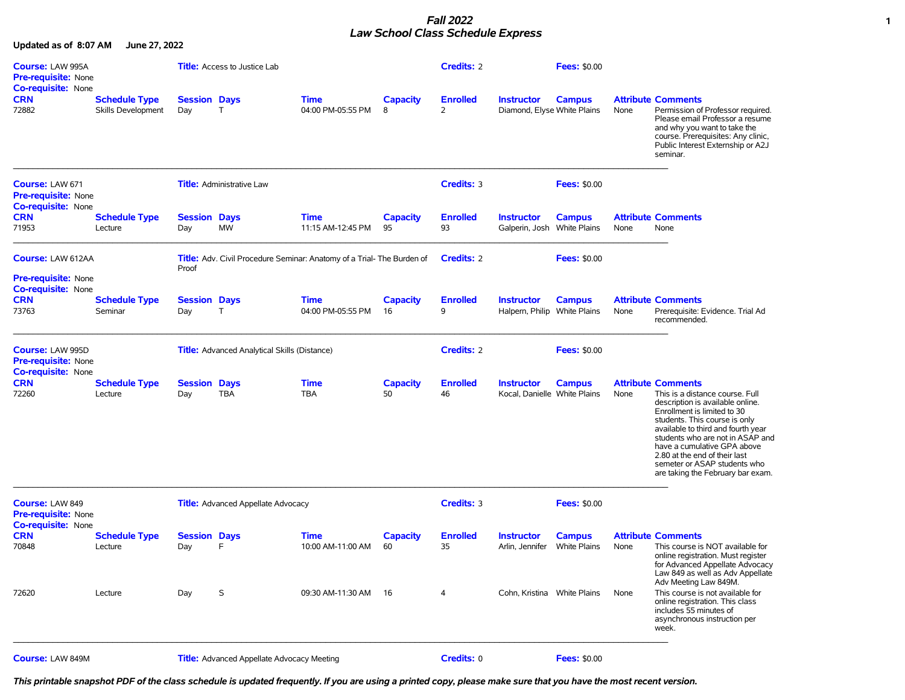## *Fall 2022* **1** *Law School Class Schedule Express*

**Updated as of 8:07 AM June 27, 2022**

| <b>Course: LAW 995A</b><br><b>Pre-requisite: None</b><br><b>Co-requisite: None</b> |                                            |                            | <b>Title:</b> Access to Justice Lab                 |                                                                               |                       | <b>Credits: 2</b>     |                                                   | <b>Fees: \$0.00</b>                  |      |                                                                                                                                                                                                                                                                                                                                                                                 |
|------------------------------------------------------------------------------------|--------------------------------------------|----------------------------|-----------------------------------------------------|-------------------------------------------------------------------------------|-----------------------|-----------------------|---------------------------------------------------|--------------------------------------|------|---------------------------------------------------------------------------------------------------------------------------------------------------------------------------------------------------------------------------------------------------------------------------------------------------------------------------------------------------------------------------------|
| <b>CRN</b><br>72882                                                                | <b>Schedule Type</b><br>Skills Development | <b>Session Days</b><br>Day | T.                                                  | <b>Time</b><br>04:00 PM-05:55 PM                                              | <b>Capacity</b><br>8  | <b>Enrolled</b><br>2  | <b>Instructor</b><br>Diamond, Elyse White Plains  | <b>Campus</b>                        | None | <b>Attribute Comments</b><br>Permission of Professor required.<br>Please email Professor a resume<br>and why you want to take the<br>course. Prerequisites: Any clinic,<br>Public Interest Externship or A2J<br>seminar.                                                                                                                                                        |
| Course: LAW 671<br><b>Pre-requisite: None</b><br><b>Co-requisite: None</b>         |                                            |                            | <b>Title:</b> Administrative Law                    |                                                                               |                       | Credits: 3            |                                                   | <b>Fees: \$0.00</b>                  |      |                                                                                                                                                                                                                                                                                                                                                                                 |
| <b>CRN</b><br>71953                                                                | <b>Schedule Type</b><br>Lecture            | <b>Session Days</b><br>Day | MW                                                  | <b>Time</b><br>11:15 AM-12:45 PM                                              | <b>Capacity</b><br>95 | <b>Enrolled</b><br>93 | <b>Instructor</b><br>Galperin, Josh White Plains  | <b>Campus</b>                        | None | <b>Attribute Comments</b><br>None                                                                                                                                                                                                                                                                                                                                               |
| <b>Course: LAW 612AA</b><br><b>Pre-requisite: None</b>                             |                                            | Proof                      |                                                     | <b>Title:</b> Adv. Civil Procedure Seminar: Anatomy of a Trial- The Burden of |                       | <b>Credits: 2</b>     |                                                   | <b>Fees: \$0.00</b>                  |      |                                                                                                                                                                                                                                                                                                                                                                                 |
| <b>Co-requisite: None</b><br><b>CRN</b><br>73763                                   | <b>Schedule Type</b><br>Seminar            | <b>Session Days</b><br>Day | $\mathsf{T}$                                        | <b>Time</b><br>04:00 PM-05:55 PM                                              | <b>Capacity</b><br>16 | <b>Enrolled</b><br>9  | <b>Instructor</b><br>Halpern, Philip White Plains | <b>Campus</b>                        | None | <b>Attribute Comments</b><br>Prerequisite: Evidence. Trial Ad<br>recommended.                                                                                                                                                                                                                                                                                                   |
| Course: LAW 995D<br><b>Pre-requisite: None</b><br>Co-requisite: None               |                                            |                            | <b>Title:</b> Advanced Analytical Skills (Distance) |                                                                               |                       | <b>Credits: 2</b>     |                                                   | <b>Fees: \$0.00</b>                  |      |                                                                                                                                                                                                                                                                                                                                                                                 |
| <b>CRN</b><br>72260                                                                | <b>Schedule Type</b><br>Lecture            | <b>Session Days</b><br>Day | <b>TBA</b>                                          | <b>Time</b><br><b>TBA</b>                                                     | <b>Capacity</b><br>50 | <b>Enrolled</b><br>46 | <b>Instructor</b><br>Kocal, Danielle White Plains | <b>Campus</b>                        | None | <b>Attribute Comments</b><br>This is a distance course. Full<br>description is available online.<br>Enrollment is limited to 30<br>students. This course is only<br>available to third and fourth year<br>students who are not in ASAP and<br>have a cumulative GPA above<br>2.80 at the end of their last<br>semeter or ASAP students who<br>are taking the February bar exam. |
| <b>Course: LAW 849</b><br><b>Pre-requisite: None</b><br>Co-requisite: None         |                                            |                            | <b>Title:</b> Advanced Appellate Advocacy           |                                                                               |                       | Credits: 3            |                                                   | <b>Fees: \$0.00</b>                  |      |                                                                                                                                                                                                                                                                                                                                                                                 |
| <b>CRN</b><br>70848                                                                | <b>Schedule Type</b><br>Lecture            | <b>Session Days</b><br>Day | F                                                   | <b>Time</b><br>10:00 AM-11:00 AM                                              | <b>Capacity</b><br>60 | <b>Enrolled</b><br>35 | <b>Instructor</b><br>Arlin, Jennifer              | <b>Campus</b><br><b>White Plains</b> | None | <b>Attribute Comments</b><br>This course is NOT available for<br>online registration. Must register<br>for Advanced Appellate Advocacy<br>Law 849 as well as Adv Appellate                                                                                                                                                                                                      |
| 72620                                                                              | Lecture                                    | Day                        | S                                                   | 09:30 AM-11:30 AM                                                             | 16                    | 4                     | Cohn, Kristina White Plains                       |                                      | None | Adv Meeting Law 849M.<br>This course is not available for<br>online registration. This class<br>includes 55 minutes of<br>asynchronous instruction per<br>week.                                                                                                                                                                                                                 |
| Course: LAW 849M                                                                   |                                            |                            | <b>Title:</b> Advanced Appellate Advocacy Meeting   |                                                                               |                       | Credits: 0            |                                                   | <b>Fees: \$0.00</b>                  |      |                                                                                                                                                                                                                                                                                                                                                                                 |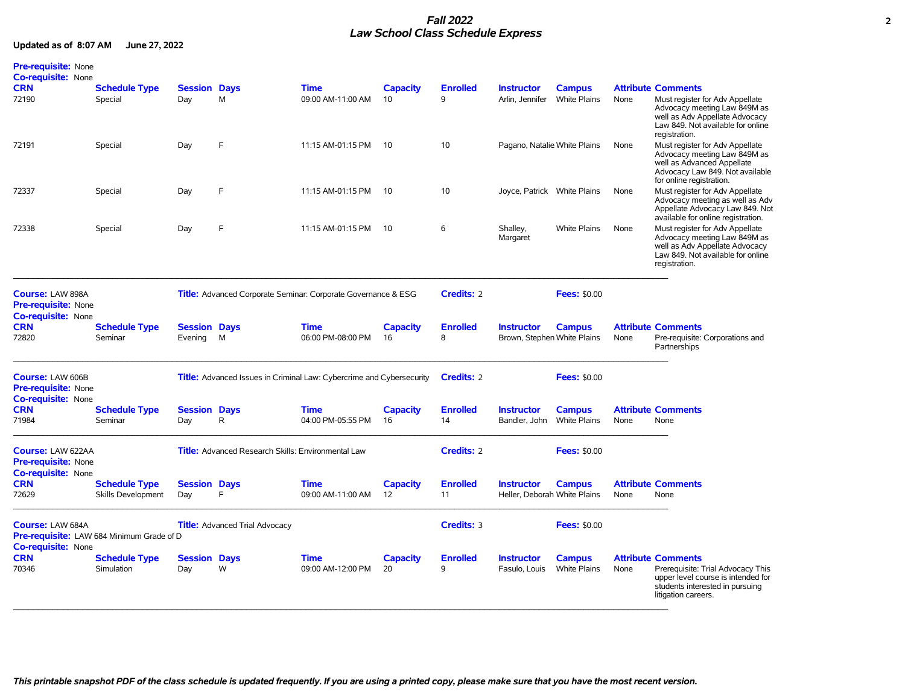## *Fall 2022* **2** *Law School Class Schedule Express*

| <b>Pre-requisite: None</b><br><b>Co-requisite: None</b>                             |                                            |                                |                                                                      |                                  |                       |                       |                                                   |                                      |      |                                                                                                                                                                |
|-------------------------------------------------------------------------------------|--------------------------------------------|--------------------------------|----------------------------------------------------------------------|----------------------------------|-----------------------|-----------------------|---------------------------------------------------|--------------------------------------|------|----------------------------------------------------------------------------------------------------------------------------------------------------------------|
| <b>CRN</b>                                                                          | <b>Schedule Type</b>                       | <b>Session Days</b>            |                                                                      | <b>Time</b>                      | <b>Capacity</b>       | <b>Enrolled</b>       | <b>Instructor</b>                                 | <b>Campus</b>                        |      | <b>Attribute Comments</b>                                                                                                                                      |
| 72190                                                                               | Special                                    | Day                            | M                                                                    | 09:00 AM-11:00 AM                | 10                    | 9                     | Arlin, Jennifer                                   | <b>White Plains</b>                  | None | Must register for Adv Appellate<br>Advocacy meeting Law 849M as<br>well as Adv Appellate Advocacy<br>Law 849. Not available for online<br>registration.        |
| 72191                                                                               | Special                                    | Day                            | F                                                                    | 11:15 AM-01:15 PM                | -10                   | 10                    | Pagano, Natalie White Plains                      |                                      | None | Must register for Adv Appellate<br>Advocacy meeting Law 849M as<br>well as Advanced Appellate<br>Advocacy Law 849. Not available<br>for online registration.   |
| 72337                                                                               | Special                                    | Day                            | F                                                                    | 11:15 AM-01:15 PM                | -10                   | 10                    | Joyce, Patrick White Plains                       |                                      | None | Must register for Adv Appellate<br>Advocacy meeting as well as Adv<br>Appellate Advocacy Law 849. Not<br>available for online registration.                    |
| 72338                                                                               | Special                                    | Day                            | F                                                                    | 11:15 AM-01:15 PM                | -10                   | 6                     | Shalley,<br>Margaret                              | <b>White Plains</b>                  | None | Must register for Adv Appellate<br>Advocacy meeting Law 849M as<br>well as Adv Appellate Advocacy<br>Law 849. Not available for online<br>registration.        |
| <b>Course: LAW 898A</b><br>Pre-requisite: None<br><b>Co-requisite: None</b>         |                                            |                                | <b>Title:</b> Advanced Corporate Seminar: Corporate Governance & ESG |                                  |                       | <b>Credits: 2</b>     |                                                   | <b>Fees: \$0.00</b>                  |      |                                                                                                                                                                |
| <b>CRN</b><br>72820                                                                 | <b>Schedule Type</b><br>Seminar            | <b>Session Days</b><br>Evening | M                                                                    | <b>Time</b><br>06:00 PM-08:00 PM | <b>Capacity</b><br>16 | <b>Enrolled</b><br>8  | <b>Instructor</b><br>Brown, Stephen White Plains  | <b>Campus</b>                        | None | <b>Attribute Comments</b><br>Pre-requisite: Corporations and<br>Partnerships                                                                                   |
| Course: LAW 606B<br><b>Pre-requisite: None</b><br><b>Co-requisite: None</b>         |                                            |                                | Title: Advanced Issues in Criminal Law: Cybercrime and Cybersecurity |                                  |                       | <b>Credits: 2</b>     |                                                   | <b>Fees: \$0.00</b>                  |      |                                                                                                                                                                |
| <b>CRN</b><br>71984                                                                 | <b>Schedule Type</b><br>Seminar            | <b>Session Days</b><br>Day     | $\mathsf{R}$                                                         | <b>Time</b><br>04:00 PM-05:55 PM | <b>Capacity</b><br>16 | <b>Enrolled</b><br>14 | <b>Instructor</b><br>Bandler, John                | <b>Campus</b><br><b>White Plains</b> | None | <b>Attribute Comments</b><br>None                                                                                                                              |
| <b>Course: LAW 622AA</b><br><b>Pre-requisite: None</b><br><b>Co-requisite: None</b> |                                            |                                | Title: Advanced Research Skills: Environmental Law                   |                                  |                       | <b>Credits: 2</b>     |                                                   | <b>Fees: \$0.00</b>                  |      |                                                                                                                                                                |
| <b>CRN</b><br>72629                                                                 | <b>Schedule Type</b><br>Skills Development | <b>Session Days</b><br>Day     | F                                                                    | <b>Time</b><br>09:00 AM-11:00 AM | <b>Capacity</b><br>12 | <b>Enrolled</b><br>11 | <b>Instructor</b><br>Heller, Deborah White Plains | <b>Campus</b>                        | None | <b>Attribute Comments</b><br>None                                                                                                                              |
| Course: LAW 684A<br><b>Co-requisite: None</b>                                       | Pre-requisite: LAW 684 Minimum Grade of D  |                                | <b>Title:</b> Advanced Trial Advocacy                                |                                  |                       | <b>Credits: 3</b>     |                                                   | <b>Fees: \$0.00</b>                  |      |                                                                                                                                                                |
| <b>CRN</b><br>70346                                                                 | <b>Schedule Type</b><br>Simulation         | <b>Session Days</b><br>Day     | W                                                                    | <b>Time</b><br>09:00 AM-12:00 PM | <b>Capacity</b><br>20 | <b>Enrolled</b><br>9  | <b>Instructor</b><br>Fasulo, Louis                | <b>Campus</b><br>White Plains        | None | <b>Attribute Comments</b><br>Prerequisite: Trial Advocacy This<br>upper level course is intended for<br>students interested in pursuing<br>litigation careers. |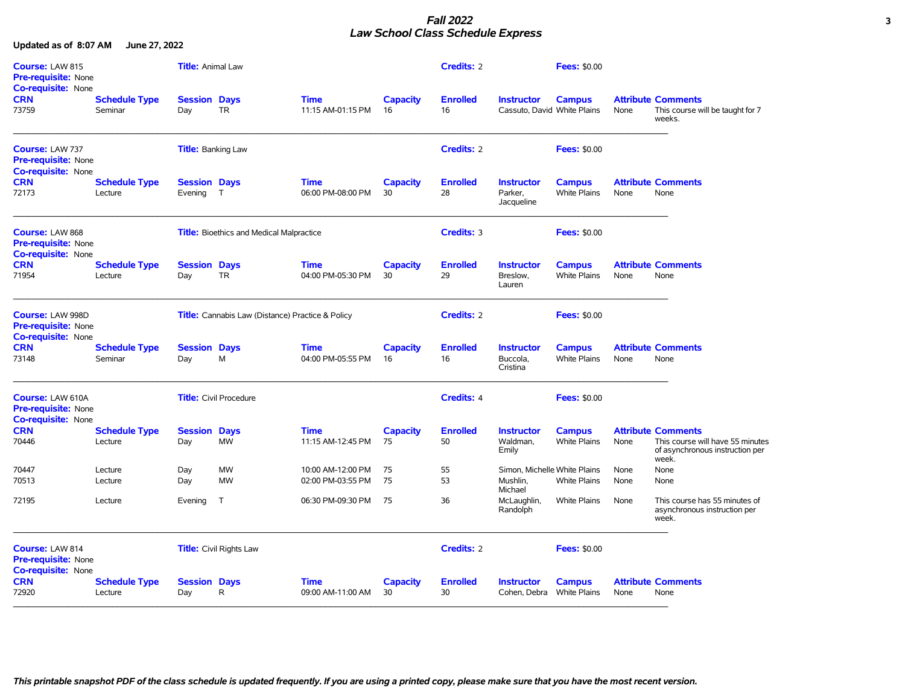## *Fall 2022* **3** *Law School Class Schedule Express*

| Course: LAW 815<br><b>Pre-requisite: None</b><br><b>Co-requisite: None</b>  | Title: Animal Law               |                                |                                                 |                                                         | <b>Credits: 2</b>     |                       | <b>Fees: \$0.00</b>                              |                                      |      |                                                                                                           |
|-----------------------------------------------------------------------------|---------------------------------|--------------------------------|-------------------------------------------------|---------------------------------------------------------|-----------------------|-----------------------|--------------------------------------------------|--------------------------------------|------|-----------------------------------------------------------------------------------------------------------|
| <b>CRN</b><br>73759                                                         | <b>Schedule Type</b><br>Seminar | <b>Session Days</b><br>Day     | <b>TR</b>                                       | <b>Time</b><br>11:15 AM-01:15 PM                        | <b>Capacity</b><br>16 | <b>Enrolled</b><br>16 | <b>Instructor</b><br>Cassuto, David White Plains | <b>Campus</b>                        | None | <b>Attribute Comments</b><br>This course will be taught for 7<br>weeks.                                   |
| Course: LAW 737<br><b>Pre-requisite: None</b><br><b>Co-requisite: None</b>  |                                 | <b>Title:</b> Banking Law      |                                                 |                                                         |                       | Credits: 2            |                                                  | <b>Fees: \$0.00</b>                  |      |                                                                                                           |
| <b>CRN</b><br>72173                                                         | <b>Schedule Type</b><br>Lecture | <b>Session Days</b><br>Evening | $\top$                                          | <b>Time</b><br>06:00 PM-08:00 PM                        | <b>Capacity</b><br>30 | <b>Enrolled</b><br>28 | <b>Instructor</b><br>Parker.<br>Jacqueline       | <b>Campus</b><br><b>White Plains</b> | None | <b>Attribute Comments</b><br>None                                                                         |
| Course: LAW 868<br>Pre-requisite: None<br><b>Co-requisite: None</b>         |                                 |                                | <b>Title:</b> Bioethics and Medical Malpractice |                                                         |                       | Credits: 3            |                                                  | <b>Fees: \$0.00</b>                  |      |                                                                                                           |
| <b>CRN</b><br>71954                                                         | <b>Schedule Type</b><br>Lecture | <b>Session Days</b><br>Day     | <b>TR</b>                                       | <b>Time</b><br>04:00 PM-05:30 PM                        | <b>Capacity</b><br>30 | <b>Enrolled</b><br>29 | <b>Instructor</b><br>Breslow,<br>Lauren          | <b>Campus</b><br><b>White Plains</b> | None | <b>Attribute Comments</b><br>None                                                                         |
| Course: LAW 998D<br><b>Pre-requisite: None</b><br><b>Co-requisite: None</b> |                                 |                                |                                                 | <b>Title:</b> Cannabis Law (Distance) Practice & Policy |                       | Credits: 2            |                                                  | <b>Fees: \$0.00</b>                  |      |                                                                                                           |
| <b>CRN</b><br>73148                                                         | <b>Schedule Type</b><br>Seminar | <b>Session Days</b><br>Day     | M                                               | <b>Time</b><br>04:00 PM-05:55 PM                        | <b>Capacity</b><br>16 | <b>Enrolled</b><br>16 | <b>Instructor</b><br>Buccola.<br>Cristina        | <b>Campus</b><br><b>White Plains</b> | None | <b>Attribute Comments</b><br>None                                                                         |
| <b>Course: LAW 610A</b><br>Pre-requisite: None<br><b>Co-requisite: None</b> |                                 |                                | <b>Title:</b> Civil Procedure                   |                                                         |                       | Credits: 4            |                                                  | <b>Fees: \$0.00</b>                  |      |                                                                                                           |
| <b>CRN</b><br>70446                                                         | <b>Schedule Type</b><br>Lecture | <b>Session Days</b><br>Day     | <b>MW</b>                                       | <b>Time</b><br>11:15 AM-12:45 PM                        | <b>Capacity</b><br>75 | <b>Enrolled</b><br>50 | <b>Instructor</b><br>Waldman,<br>Emily           | <b>Campus</b><br><b>White Plains</b> | None | <b>Attribute Comments</b><br>This course will have 55 minutes<br>of asynchronous instruction per<br>week. |
| 70447                                                                       | Lecture                         | Day                            | <b>MW</b>                                       | 10:00 AM-12:00 PM                                       | 75                    | 55                    | Simon, Michelle White Plains                     |                                      | None | None                                                                                                      |
| 70513                                                                       | Lecture                         | Day                            | <b>MW</b>                                       | 02:00 PM-03:55 PM                                       | 75                    | 53                    | Mushlin.<br>Michael                              | <b>White Plains</b>                  | None | None                                                                                                      |
| 72195                                                                       | Lecture                         | Evening                        | $\top$                                          | 06:30 PM-09:30 PM                                       | 75                    | 36                    | McLaughlin,<br>Randolph                          | <b>White Plains</b>                  | None | This course has 55 minutes of<br>asynchronous instruction per<br>week.                                    |
| Course: LAW 814<br>Pre-requisite: None<br>Co-requisite: None                |                                 |                                | <b>Title:</b> Civil Rights Law                  |                                                         |                       | <b>Credits: 2</b>     |                                                  | <b>Fees: \$0.00</b>                  |      |                                                                                                           |
| <b>CRN</b><br>72920                                                         | <b>Schedule Type</b><br>Lecture | <b>Session Days</b><br>Day     | R                                               | <b>Time</b><br>09:00 AM-11:00 AM                        | <b>Capacity</b><br>30 | <b>Enrolled</b><br>30 | <b>Instructor</b><br>Cohen, Debra White Plains   | <b>Campus</b>                        | None | <b>Attribute Comments</b><br>None                                                                         |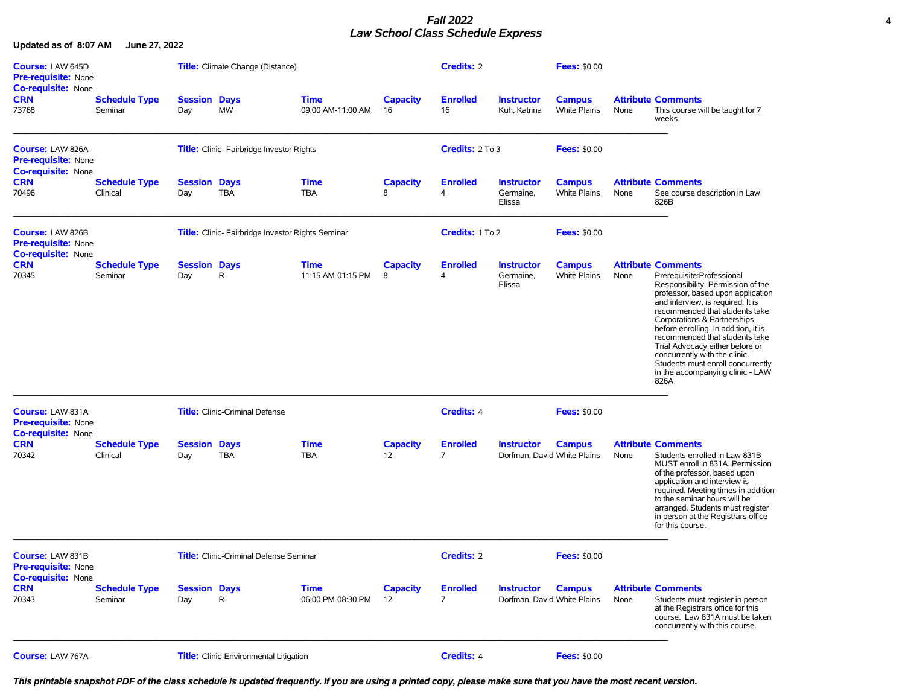## *Fall 2022* **4** *Law School Class Schedule Express*

**Updated as of 8:07 AM June 27, 2022**

| <b>Course: LAW 645D</b><br>Pre-requisite: None                                     |                                  |                            | Title: Climate Change (Distance)                 |                                  |                       | <b>Credits: 2</b>                 |                                                  | <b>Fees: \$0.00</b>                  |      |                                                                                                                                                                                                                                                                                                                                                                                                                                                                       |
|------------------------------------------------------------------------------------|----------------------------------|----------------------------|--------------------------------------------------|----------------------------------|-----------------------|-----------------------------------|--------------------------------------------------|--------------------------------------|------|-----------------------------------------------------------------------------------------------------------------------------------------------------------------------------------------------------------------------------------------------------------------------------------------------------------------------------------------------------------------------------------------------------------------------------------------------------------------------|
| <b>Co-requisite: None</b><br><b>CRN</b><br>73768                                   | <b>Schedule Type</b><br>Seminar  | <b>Session Days</b><br>Day | <b>MW</b>                                        | <b>Time</b><br>09:00 AM-11:00 AM | <b>Capacity</b><br>16 | <b>Enrolled</b><br>16             | <b>Instructor</b><br>Kuh, Katrina                | <b>Campus</b><br><b>White Plains</b> | None | <b>Attribute Comments</b><br>This course will be taught for 7<br>weeks.                                                                                                                                                                                                                                                                                                                                                                                               |
| <b>Course: LAW 826A</b><br><b>Pre-requisite: None</b><br><b>Co-requisite: None</b> |                                  |                            | <b>Title:</b> Clinic-Fairbridge Investor Rights  |                                  |                       | Credits: 2 To 3                   |                                                  | <b>Fees: \$0.00</b>                  |      |                                                                                                                                                                                                                                                                                                                                                                                                                                                                       |
| <b>CRN</b><br>70496                                                                | <b>Schedule Type</b><br>Clinical | <b>Session Days</b><br>Day | TBA                                              | <b>Time</b><br><b>TBA</b>        | <b>Capacity</b><br>8  | <b>Enrolled</b><br>$\overline{4}$ | <b>Instructor</b><br>Germaine.<br>Elissa         | <b>Campus</b><br><b>White Plains</b> | None | <b>Attribute Comments</b><br>See course description in Law<br>826B                                                                                                                                                                                                                                                                                                                                                                                                    |
| <b>Course: LAW 826B</b><br><b>Pre-requisite: None</b><br><b>Co-requisite: None</b> |                                  |                            | Title: Clinic-Fairbridge Investor Rights Seminar |                                  |                       | Credits: 1 To 2                   |                                                  | <b>Fees: \$0.00</b>                  |      |                                                                                                                                                                                                                                                                                                                                                                                                                                                                       |
| <b>CRN</b><br>70345                                                                | <b>Schedule Type</b><br>Seminar  | <b>Session Days</b><br>Day | R                                                | <b>Time</b><br>11:15 AM-01:15 PM | <b>Capacity</b><br>8  | <b>Enrolled</b><br>4              | <b>Instructor</b><br>Germaine,<br>Elissa         | <b>Campus</b><br><b>White Plains</b> | None | <b>Attribute Comments</b><br>Prerequisite:Professional<br>Responsibility. Permission of the<br>professor, based upon application<br>and interview, is required. It is<br>recommended that students take<br>Corporations & Partnerships<br>before enrolling. In addition, it is<br>recommended that students take<br>Trial Advocacy either before or<br>concurrently with the clinic.<br>Students must enroll concurrently<br>in the accompanying clinic - LAW<br>826A |
| <b>Course: LAW 831A</b><br><b>Pre-requisite: None</b>                              |                                  |                            | <b>Title:</b> Clinic-Criminal Defense            |                                  |                       | <b>Credits: 4</b>                 |                                                  | <b>Fees: \$0.00</b>                  |      |                                                                                                                                                                                                                                                                                                                                                                                                                                                                       |
| <b>Co-requisite: None</b><br><b>CRN</b><br>70342                                   | <b>Schedule Type</b><br>Clinical | <b>Session</b><br>Day      | <b>Days</b><br><b>TBA</b>                        | <b>Time</b><br><b>TBA</b>        | <b>Capacity</b><br>12 | <b>Enrolled</b><br>$\overline{7}$ | <b>Instructor</b><br>Dorfman, David White Plains | <b>Campus</b>                        | None | <b>Attribute Comments</b><br>Students enrolled in Law 831B<br>MUST enroll in 831A. Permission<br>of the professor, based upon<br>application and interview is<br>required. Meeting times in addition<br>to the seminar hours will be<br>arranged. Students must register<br>in person at the Registrars office<br>for this course.                                                                                                                                    |
| <b>Course: LAW 831B</b><br>Pre-requisite: None                                     |                                  |                            | <b>Title:</b> Clinic-Criminal Defense Seminar    |                                  |                       | <b>Credits: 2</b>                 |                                                  | <b>Fees: \$0.00</b>                  |      |                                                                                                                                                                                                                                                                                                                                                                                                                                                                       |
| Co-requisite: None<br><b>CRN</b><br>70343                                          | <b>Schedule Type</b><br>Seminar  | <b>Session Days</b><br>Day | R                                                | <b>Time</b><br>06:00 PM-08:30 PM | <b>Capacity</b><br>12 | <b>Enrolled</b><br>$\overline{7}$ | <b>Instructor</b><br>Dorfman, David White Plains | <b>Campus</b>                        | None | <b>Attribute Comments</b><br>Students must register in person<br>at the Registrars office for this<br>course. Law 831A must be taken<br>concurrently with this course.                                                                                                                                                                                                                                                                                                |
| <b>Course: LAW 767A</b>                                                            |                                  |                            | Title: Clinic-Environmental Litigation           |                                  |                       | Credits: 4                        |                                                  | <b>Fees: \$0.00</b>                  |      |                                                                                                                                                                                                                                                                                                                                                                                                                                                                       |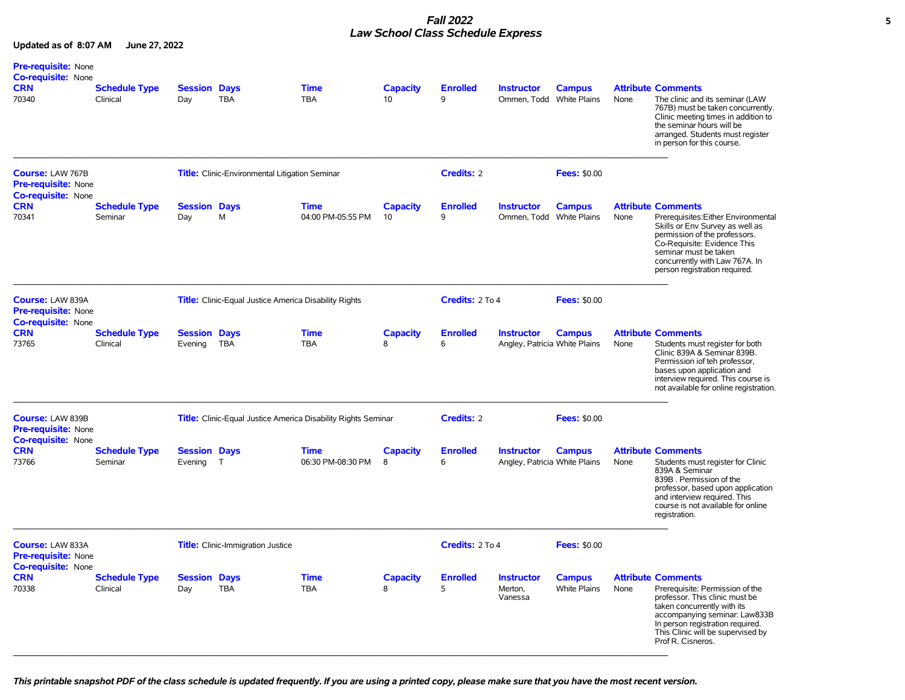## *Fall 2022* **5** *Law School Class Schedule Express*

| <b>Pre-requisite: None</b><br><b>Co-requisite: None</b><br><b>CRN</b><br>70340     | <b>Schedule Type</b><br>Clinical | <b>Session Days</b><br>Day     | <b>TBA</b>                                                   | <b>Time</b><br><b>TBA</b>                                     | <b>Capacity</b><br>10 | <b>Enrolled</b><br>9 | <b>Instructor</b><br>Ommen, Todd White Plains      | <b>Campus</b>                 | None | <b>Attribute Comments</b><br>The clinic and its seminar (LAW<br>767B) must be taken concurrently.<br>Clinic meeting times in addition to<br>the seminar hours will be<br>arranged. Students must register<br>in person for this course.                         |
|------------------------------------------------------------------------------------|----------------------------------|--------------------------------|--------------------------------------------------------------|---------------------------------------------------------------|-----------------------|----------------------|----------------------------------------------------|-------------------------------|------|-----------------------------------------------------------------------------------------------------------------------------------------------------------------------------------------------------------------------------------------------------------------|
| <b>Course: LAW 767B</b><br><b>Pre-requisite: None</b><br><b>Co-requisite: None</b> |                                  |                                | Title: Clinic-Environmental Litigation Seminar               |                                                               |                       | Credits: 2           |                                                    | <b>Fees: \$0.00</b>           |      |                                                                                                                                                                                                                                                                 |
| <b>CRN</b><br>70341                                                                | <b>Schedule Type</b><br>Seminar  | <b>Session Days</b><br>Day     | M                                                            | <b>Time</b><br>04:00 PM-05:55 PM                              | <b>Capacity</b><br>10 | <b>Enrolled</b><br>9 | <b>Instructor</b><br>Ommen, Todd White Plains      | <b>Campus</b>                 | None | <b>Attribute Comments</b><br>Prerequisites: Either Environmental<br>Skills or Env Survey as well as<br>permission of the professors.<br>Co-Requisite: Evidence This<br>seminar must be taken<br>concurrently with Law 767A. In<br>person registration required. |
| <b>Course: LAW 839A</b><br><b>Pre-requisite: None</b><br><b>Co-requisite: None</b> |                                  |                                | <b>Title:</b> Clinic-Equal Justice America Disability Rights |                                                               |                       | Credits: 2 To 4      |                                                    | <b>Fees: \$0.00</b>           |      |                                                                                                                                                                                                                                                                 |
| <b>CRN</b><br>73765                                                                | <b>Schedule Type</b><br>Clinical | <b>Session Days</b><br>Evening | TBA                                                          | <b>Time</b><br><b>TBA</b>                                     | <b>Capacity</b><br>8  | <b>Enrolled</b><br>6 | <b>Instructor</b><br>Angley, Patricia White Plains | <b>Campus</b>                 | None | <b>Attribute Comments</b><br>Students must register for both<br>Clinic 839A & Seminar 839B.<br>Permission iof teh professor,<br>bases upon application and<br>interview required. This course is<br>not available for online registration.                      |
| Course: LAW 839B<br><b>Pre-requisite: None</b><br><b>Co-requisite: None</b>        |                                  |                                |                                                              | Title: Clinic-Equal Justice America Disability Rights Seminar |                       | Credits: 2           |                                                    | <b>Fees: \$0.00</b>           |      |                                                                                                                                                                                                                                                                 |
| <b>CRN</b><br>73766                                                                | <b>Schedule Type</b><br>Seminar  | <b>Session Days</b><br>Evening | T                                                            | <b>Time</b><br>06:30 PM-08:30 PM                              | <b>Capacity</b><br>8  | <b>Enrolled</b><br>6 | <b>Instructor</b><br>Angley, Patricia White Plains | <b>Campus</b>                 | None | <b>Attribute Comments</b><br>Students must register for Clinic<br>839A & Seminar<br>839B. Permission of the<br>professor, based upon application<br>and interview required. This<br>course is not available for online<br>registration.                         |
| Course: LAW 833A<br><b>Pre-requisite: None</b><br><b>Co-requisite: None</b>        |                                  |                                | Title: Clinic-Immigration Justice                            |                                                               |                       | Credits: 2 To 4      |                                                    | <b>Fees: \$0.00</b>           |      |                                                                                                                                                                                                                                                                 |
| <b>CRN</b><br>70338                                                                | <b>Schedule Type</b><br>Clinical | <b>Session Days</b><br>Day     | <b>TBA</b>                                                   | <b>Time</b><br><b>TBA</b>                                     | <b>Capacity</b><br>8  | <b>Enrolled</b><br>5 | <b>Instructor</b><br>Merton,<br>Vanessa            | <b>Campus</b><br>White Plains | None | <b>Attribute Comments</b><br>Prerequisite: Permission of the<br>professor. This clinic must be<br>taken concurrently with its<br>accompanying seminar: Law833B<br>In person registration required.<br>This Clinic will be supervised by<br>Prof R. Cisneros.    |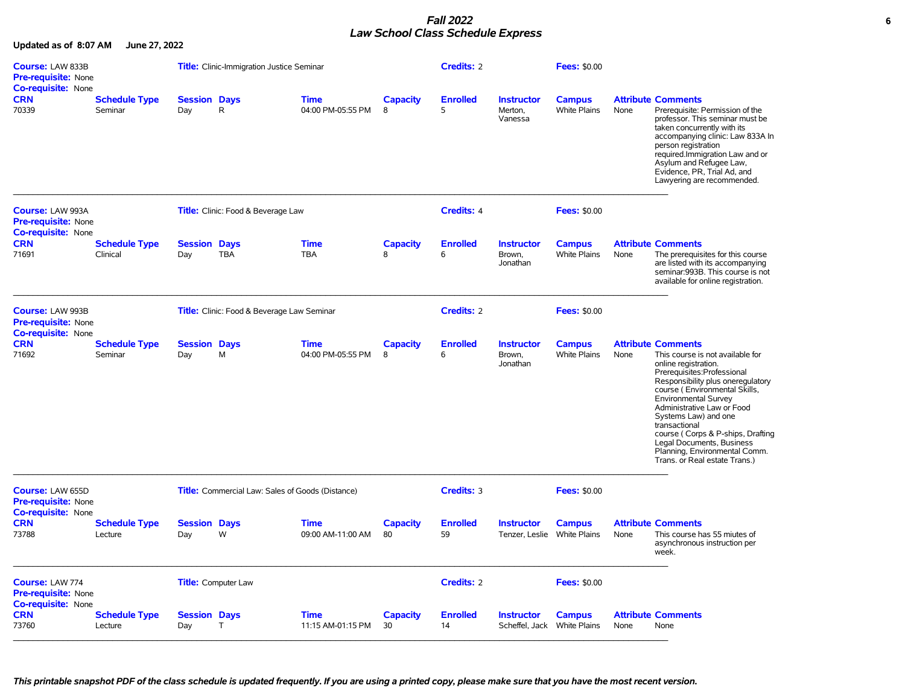## *Fall 2022* **6** *Law School Class Schedule Express*

| <b>Course: LAW 833B</b><br><b>Pre-requisite: None</b><br>Co-requisite: None |                                  |                            | <b>Title:</b> Clinic-Immigration Justice Seminar        |                                  | <b>Credits: 2</b>     |                       | <b>Fees: \$0.00</b>                              |                                      |      |                                                                                                                                                                                                                                                                                                                                                                                                                              |
|-----------------------------------------------------------------------------|----------------------------------|----------------------------|---------------------------------------------------------|----------------------------------|-----------------------|-----------------------|--------------------------------------------------|--------------------------------------|------|------------------------------------------------------------------------------------------------------------------------------------------------------------------------------------------------------------------------------------------------------------------------------------------------------------------------------------------------------------------------------------------------------------------------------|
| <b>CRN</b><br>70339                                                         | <b>Schedule Type</b><br>Seminar  | <b>Session Days</b><br>Day | R                                                       | <b>Time</b><br>04:00 PM-05:55 PM | <b>Capacity</b><br>8  | <b>Enrolled</b><br>5  | <b>Instructor</b><br>Merton,<br>Vanessa          | <b>Campus</b><br>White Plains        | None | <b>Attribute Comments</b><br>Prerequisite: Permission of the<br>professor. This seminar must be<br>taken concurrently with its<br>accompanying clinic: Law 833A In<br>person registration<br>required.Immigration Law and or<br>Asylum and Refugee Law,<br>Evidence, PR, Trial Ad, and<br>Lawyering are recommended.                                                                                                         |
| Course: LAW 993A<br>Pre-requisite: None                                     |                                  |                            | Title: Clinic: Food & Beverage Law                      |                                  |                       | Credits: 4            |                                                  | <b>Fees: \$0.00</b>                  |      |                                                                                                                                                                                                                                                                                                                                                                                                                              |
| Co-requisite: None<br><b>CRN</b><br>71691                                   | <b>Schedule Type</b><br>Clinical | <b>Session Days</b><br>Day | <b>TBA</b>                                              | Time<br><b>TBA</b>               | <b>Capacity</b><br>8  | <b>Enrolled</b><br>6  | <b>Instructor</b><br>Brown,<br>Jonathan          | <b>Campus</b><br><b>White Plains</b> | None | <b>Attribute Comments</b><br>The prerequisites for this course<br>are listed with its accompanying<br>seminar:993B. This course is not<br>available for online registration.                                                                                                                                                                                                                                                 |
| Course: LAW 993B<br>Pre-requisite: None<br><b>Co-requisite: None</b>        |                                  |                            | <b>Title:</b> Clinic: Food & Beverage Law Seminar       |                                  |                       | <b>Credits: 2</b>     |                                                  | <b>Fees: \$0.00</b>                  |      |                                                                                                                                                                                                                                                                                                                                                                                                                              |
| <b>CRN</b><br>71692                                                         | <b>Schedule Type</b><br>Seminar  | <b>Session Days</b><br>Day | M                                                       | Time<br>04:00 PM-05:55 PM        | <b>Capacity</b><br>8  | <b>Enrolled</b><br>6  | <b>Instructor</b><br>Brown,<br>Jonathan          | <b>Campus</b><br><b>White Plains</b> | None | <b>Attribute Comments</b><br>This course is not available for<br>online registration.<br>Prerequisites:Professional<br>Responsibility plus oneregulatory<br>course (Environmental Skills,<br>Environmental Survey<br>Administrative Law or Food<br>Systems Law) and one<br>transactional<br>course (Corps & P-ships, Drafting<br>Legal Documents, Business<br>Planning, Environmental Comm.<br>Trans. or Real estate Trans.) |
| <b>Course: LAW 655D</b><br><b>Pre-requisite: None</b>                       |                                  |                            | <b>Title:</b> Commercial Law: Sales of Goods (Distance) |                                  |                       | Credits: 3            |                                                  | <b>Fees: \$0.00</b>                  |      |                                                                                                                                                                                                                                                                                                                                                                                                                              |
| <b>Co-requisite: None</b><br><b>CRN</b><br>73788                            | <b>Schedule Type</b><br>Lecture  | <b>Session Days</b><br>Day | W                                                       | <b>Time</b><br>09:00 AM-11:00 AM | <b>Capacity</b><br>80 | <b>Enrolled</b><br>59 | <b>Instructor</b><br>Tenzer, Leslie White Plains | <b>Campus</b>                        | None | <b>Attribute Comments</b><br>This course has 55 miutes of<br>asynchronous instruction per<br>week.                                                                                                                                                                                                                                                                                                                           |
| Course: LAW 774<br><b>Pre-requisite: None</b><br>Co-requisite: None         |                                  |                            | <b>Title:</b> Computer Law                              |                                  |                       | <b>Credits: 2</b>     |                                                  | <b>Fees: \$0.00</b>                  |      |                                                                                                                                                                                                                                                                                                                                                                                                                              |
| <b>CRN</b><br>73760                                                         | <b>Schedule Type</b><br>Lecture  | <b>Session Days</b><br>Day | $\top$                                                  | <b>Time</b><br>11:15 AM-01:15 PM | Capacity<br>30        | <b>Enrolled</b><br>14 | <b>Instructor</b><br>Scheffel, Jack White Plains | <b>Campus</b>                        | None | <b>Attribute Comments</b><br>None                                                                                                                                                                                                                                                                                                                                                                                            |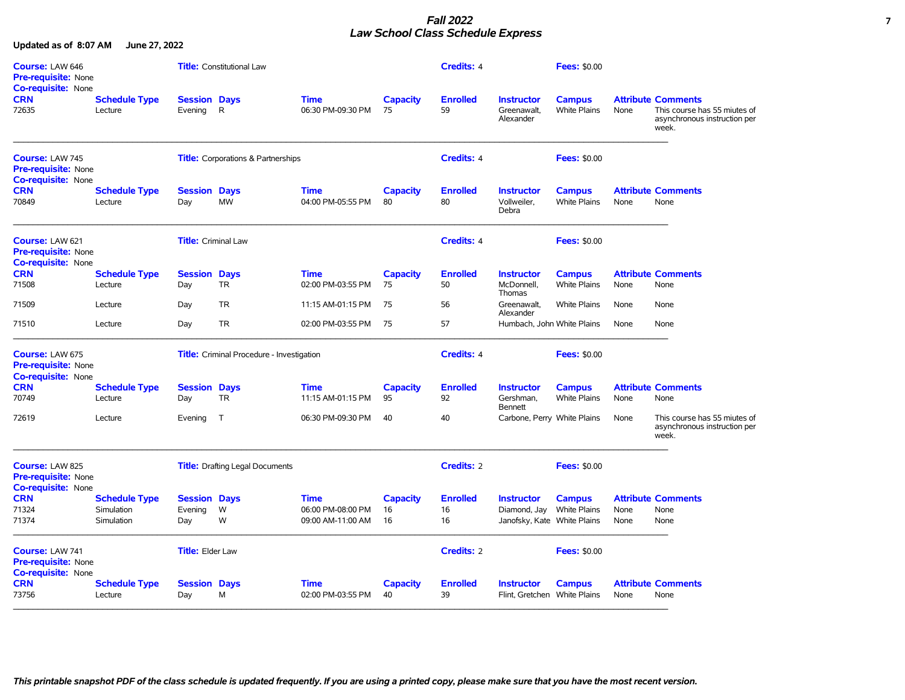## *Fall 2022* **7** *Law School Class Schedule Express*

| Course: LAW 646<br><b>Pre-requisite: None</b><br><b>Co-requisite: None</b> |                                 |                                | <b>Title:</b> Constitutional Law                 |                                  |                       | <b>Credits: 4</b>     |                                                   | <b>Fees: \$0.00</b>                  |      |                                                                                                    |
|----------------------------------------------------------------------------|---------------------------------|--------------------------------|--------------------------------------------------|----------------------------------|-----------------------|-----------------------|---------------------------------------------------|--------------------------------------|------|----------------------------------------------------------------------------------------------------|
| <b>CRN</b><br>72635                                                        | <b>Schedule Type</b><br>Lecture | <b>Session Days</b><br>Evening | $\mathsf{R}$                                     | <b>Time</b><br>06:30 PM-09:30 PM | <b>Capacity</b><br>75 | <b>Enrolled</b><br>59 | <b>Instructor</b><br>Greenawalt,<br>Alexander     | <b>Campus</b><br>White Plains        | None | <b>Attribute Comments</b><br>This course has 55 miutes of<br>asynchronous instruction per<br>week. |
| Course: LAW 745<br><b>Pre-requisite: None</b><br><b>Co-requisite: None</b> |                                 |                                | <b>Title:</b> Corporations & Partnerships        |                                  |                       | <b>Credits: 4</b>     |                                                   | <b>Fees: \$0.00</b>                  |      |                                                                                                    |
| <b>CRN</b><br>70849                                                        | <b>Schedule Type</b><br>Lecture | <b>Session Days</b><br>Day     | MW                                               | <b>Time</b><br>04:00 PM-05:55 PM | <b>Capacity</b><br>80 | <b>Enrolled</b><br>80 | <b>Instructor</b><br>Vollweiler,<br>Debra         | <b>Campus</b><br><b>White Plains</b> | None | <b>Attribute Comments</b><br>None                                                                  |
| Course: LAW 621<br><b>Pre-requisite: None</b><br><b>Co-requisite: None</b> |                                 | <b>Title:</b> Criminal Law     |                                                  |                                  |                       | <b>Credits: 4</b>     |                                                   | <b>Fees: \$0.00</b>                  |      |                                                                                                    |
| <b>CRN</b><br>71508                                                        | <b>Schedule Type</b><br>Lecture | <b>Session Days</b><br>Day     | <b>TR</b>                                        | <b>Time</b><br>02:00 PM-03:55 PM | Capacity<br>75        | <b>Enrolled</b><br>50 | <b>Instructor</b><br>McDonnell.<br>Thomas         | <b>Campus</b><br><b>White Plains</b> | None | <b>Attribute Comments</b><br>None                                                                  |
| 71509                                                                      | Lecture                         | Day                            | <b>TR</b>                                        | 11:15 AM-01:15 PM                | 75                    | 56                    | Greenawalt.<br>Alexander                          | <b>White Plains</b>                  | None | None                                                                                               |
| 71510                                                                      | Lecture                         | Day                            | <b>TR</b>                                        | 02:00 PM-03:55 PM                | 75                    | 57                    | Humbach, John White Plains                        |                                      | None | None                                                                                               |
| Course: LAW 675<br><b>Pre-requisite: None</b>                              |                                 |                                | <b>Title:</b> Criminal Procedure - Investigation |                                  |                       | <b>Credits: 4</b>     |                                                   | <b>Fees: \$0.00</b>                  |      |                                                                                                    |
| <b>Co-requisite: None</b><br><b>CRN</b><br>70749                           | <b>Schedule Type</b><br>Lecture | <b>Session Days</b><br>Day     | <b>TR</b>                                        | <b>Time</b><br>11:15 AM-01:15 PM | <b>Capacity</b><br>95 | <b>Enrolled</b><br>92 | <b>Instructor</b><br>Gershman,<br><b>Bennett</b>  | <b>Campus</b><br><b>White Plains</b> | None | <b>Attribute Comments</b><br>None                                                                  |
| 72619                                                                      | Lecture                         | Evening                        | $\top$                                           | 06:30 PM-09:30 PM                | 40                    | 40                    | Carbone, Perry White Plains                       |                                      | None | This course has 55 miutes of<br>asynchronous instruction per<br>week.                              |
| Course: LAW 825<br><b>Pre-requisite: None</b><br><b>Co-requisite: None</b> |                                 |                                | <b>Title:</b> Drafting Legal Documents           |                                  |                       | Credits: 2            |                                                   | <b>Fees: \$0.00</b>                  |      |                                                                                                    |
| <b>CRN</b>                                                                 | <b>Schedule Type</b>            | <b>Session Days</b>            |                                                  | <b>Time</b>                      | <b>Capacity</b>       | <b>Enrolled</b>       | <b>Instructor</b>                                 | <b>Campus</b>                        |      | <b>Attribute Comments</b>                                                                          |
| 71324                                                                      | Simulation                      | Evening                        | W                                                | 06:00 PM-08:00 PM                | 16                    | 16                    | Diamond, Jay                                      | <b>White Plains</b>                  | None | None                                                                                               |
| 71374                                                                      | Simulation                      | Day                            | W                                                | 09:00 AM-11:00 AM                | 16                    | 16                    | Janofsky, Kate White Plains                       |                                      | None | None                                                                                               |
| Course: LAW 741<br><b>Pre-requisite: None</b><br>Co-requisite: None        |                                 | <b>Title: Elder Law</b>        |                                                  |                                  |                       | <b>Credits: 2</b>     |                                                   | <b>Fees: \$0.00</b>                  |      |                                                                                                    |
| <b>CRN</b><br>73756                                                        | <b>Schedule Type</b><br>Lecture | <b>Session Days</b><br>Day     | M                                                | <b>Time</b><br>02:00 PM-03:55 PM | <b>Capacity</b><br>40 | <b>Enrolled</b><br>39 | <b>Instructor</b><br>Flint, Gretchen White Plains | <b>Campus</b>                        | None | <b>Attribute Comments</b><br>None                                                                  |
|                                                                            |                                 |                                |                                                  |                                  |                       |                       |                                                   |                                      |      |                                                                                                    |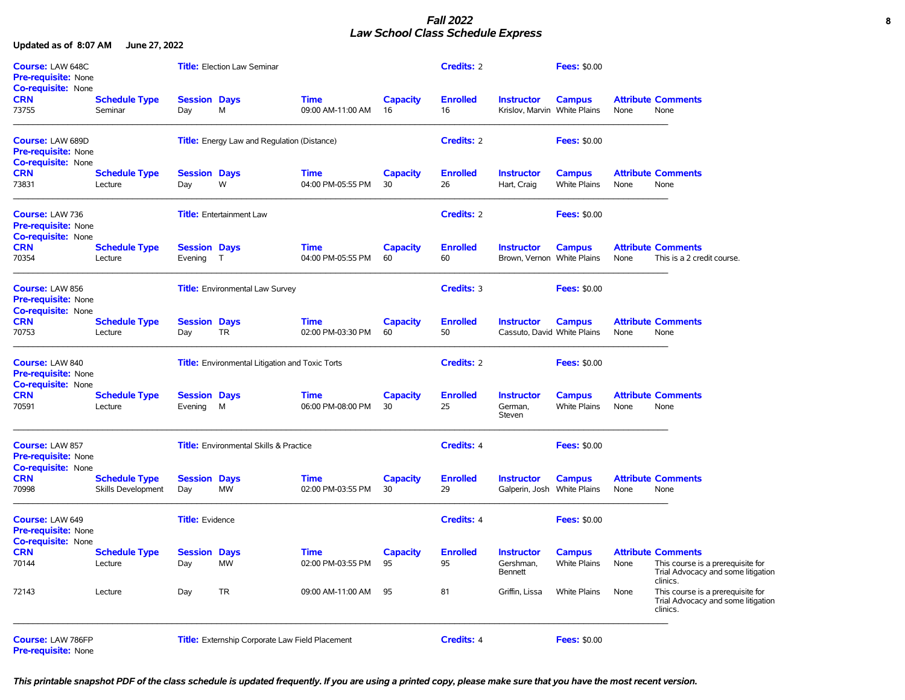# *Fall 2022* **8** *Law School Class Schedule Express*

**Updated as of 8:07 AM June 27, 2022**

| Course: LAW 648C<br><b>Pre-requisite: None</b>                              |                                            |                                | <b>Title:</b> Election Law Seminar                     |                                  |                       | <b>Credits: 2</b>     |                                                   | <b>Fees: \$0.00</b>                  |      |                                                                                                                  |
|-----------------------------------------------------------------------------|--------------------------------------------|--------------------------------|--------------------------------------------------------|----------------------------------|-----------------------|-----------------------|---------------------------------------------------|--------------------------------------|------|------------------------------------------------------------------------------------------------------------------|
| <b>Co-requisite: None</b><br><b>CRN</b><br>73755                            | <b>Schedule Type</b><br>Seminar            | <b>Session Days</b><br>Day     | M                                                      | <b>Time</b><br>09:00 AM-11:00 AM | <b>Capacity</b><br>16 | <b>Enrolled</b><br>16 | <b>Instructor</b><br>Krislov, Marvin White Plains | <b>Campus</b>                        | None | <b>Attribute Comments</b><br>None                                                                                |
| <b>Course: LAW 689D</b><br>Pre-requisite: None<br><b>Co-requisite: None</b> |                                            |                                | <b>Title:</b> Energy Law and Regulation (Distance)     |                                  |                       | <b>Credits: 2</b>     |                                                   | <b>Fees: \$0.00</b>                  |      |                                                                                                                  |
| <b>CRN</b><br>73831                                                         | <b>Schedule Type</b><br>Lecture            | <b>Session Days</b><br>Day     | W                                                      | <b>Time</b><br>04:00 PM-05:55 PM | <b>Capacity</b><br>30 | <b>Enrolled</b><br>26 | <b>Instructor</b><br>Hart, Craig                  | <b>Campus</b><br><b>White Plains</b> | None | <b>Attribute Comments</b><br>None                                                                                |
| Course: LAW 736<br>Pre-requisite: None<br>Co-requisite: None                |                                            |                                | <b>Title:</b> Entertainment Law                        |                                  |                       | <b>Credits: 2</b>     |                                                   | <b>Fees: \$0.00</b>                  |      |                                                                                                                  |
| <b>CRN</b><br>70354                                                         | <b>Schedule Type</b><br>Lecture            | <b>Session Days</b><br>Evening | $\top$                                                 | <b>Time</b><br>04:00 PM-05:55 PM | <b>Capacity</b><br>60 | <b>Enrolled</b><br>60 | <b>Instructor</b><br>Brown, Vernon White Plains   | <b>Campus</b>                        | None | <b>Attribute Comments</b><br>This is a 2 credit course.                                                          |
| Course: LAW 856<br>Pre-requisite: None<br><b>Co-requisite: None</b>         |                                            |                                | <b>Title:</b> Environmental Law Survey                 |                                  |                       | <b>Credits: 3</b>     |                                                   | <b>Fees: \$0.00</b>                  |      |                                                                                                                  |
| <b>CRN</b><br>70753                                                         | <b>Schedule Type</b><br>Lecture            | <b>Session Days</b><br>Day     | <b>TR</b>                                              | <b>Time</b><br>02:00 PM-03:30 PM | <b>Capacity</b><br>60 | <b>Enrolled</b><br>50 | <b>Instructor</b><br>Cassuto, David White Plains  | <b>Campus</b>                        | None | <b>Attribute Comments</b><br>None                                                                                |
| Course: LAW 840<br><b>Pre-requisite: None</b><br><b>Co-requisite: None</b>  |                                            |                                | <b>Title:</b> Environmental Litigation and Toxic Torts |                                  |                       | <b>Credits: 2</b>     |                                                   | <b>Fees: \$0.00</b>                  |      |                                                                                                                  |
| <b>CRN</b><br>70591                                                         | <b>Schedule Type</b><br>Lecture            | <b>Session Days</b><br>Evening | M                                                      | <b>Time</b><br>06:00 PM-08:00 PM | <b>Capacity</b><br>30 | <b>Enrolled</b><br>25 | <b>Instructor</b><br>German,<br>Steven            | <b>Campus</b><br>White Plains        | None | <b>Attribute Comments</b><br>None                                                                                |
| Course: LAW 857<br>Pre-requisite: None<br>Co-requisite: None                |                                            |                                | <b>Title:</b> Environmental Skills & Practice          |                                  |                       | <b>Credits: 4</b>     |                                                   | <b>Fees: \$0.00</b>                  |      |                                                                                                                  |
| <b>CRN</b><br>70998                                                         | <b>Schedule Type</b><br>Skills Development | <b>Session Days</b><br>Day     | <b>MW</b>                                              | <b>Time</b><br>02:00 PM-03:55 PM | <b>Capacity</b><br>30 | <b>Enrolled</b><br>29 | <b>Instructor</b><br>Galperin, Josh White Plains  | <b>Campus</b>                        | None | <b>Attribute Comments</b><br>None                                                                                |
| Course: LAW 649<br><b>Pre-requisite: None</b><br><b>Co-requisite: None</b>  |                                            | <b>Title:</b> Evidence         |                                                        |                                  |                       | <b>Credits: 4</b>     |                                                   | <b>Fees: \$0.00</b>                  |      |                                                                                                                  |
| <b>CRN</b><br>70144                                                         | <b>Schedule Type</b><br>Lecture            | <b>Session Days</b><br>Day     | <b>MW</b>                                              | <b>Time</b><br>02:00 PM-03:55 PM | <b>Capacity</b><br>95 | <b>Enrolled</b><br>95 | <b>Instructor</b><br>Gershman.<br><b>Bennett</b>  | <b>Campus</b><br><b>White Plains</b> | None | <b>Attribute Comments</b><br>This course is a prerequisite for<br>Trial Advocacy and some litigation<br>clinics. |
| 72143                                                                       | Lecture                                    | Day                            | <b>TR</b>                                              | 09:00 AM-11:00 AM                | 95                    | 81                    | Griffin, Lissa                                    | <b>White Plains</b>                  | None | This course is a prerequisite for<br>Trial Advocacy and some litigation<br>clinics.                              |
| Course: LAW 786FP<br><b>Pre-requisite: None</b>                             |                                            |                                | <b>Title:</b> Externship Corporate Law Field Placement |                                  |                       | <b>Credits: 4</b>     |                                                   | <b>Fees: \$0.00</b>                  |      |                                                                                                                  |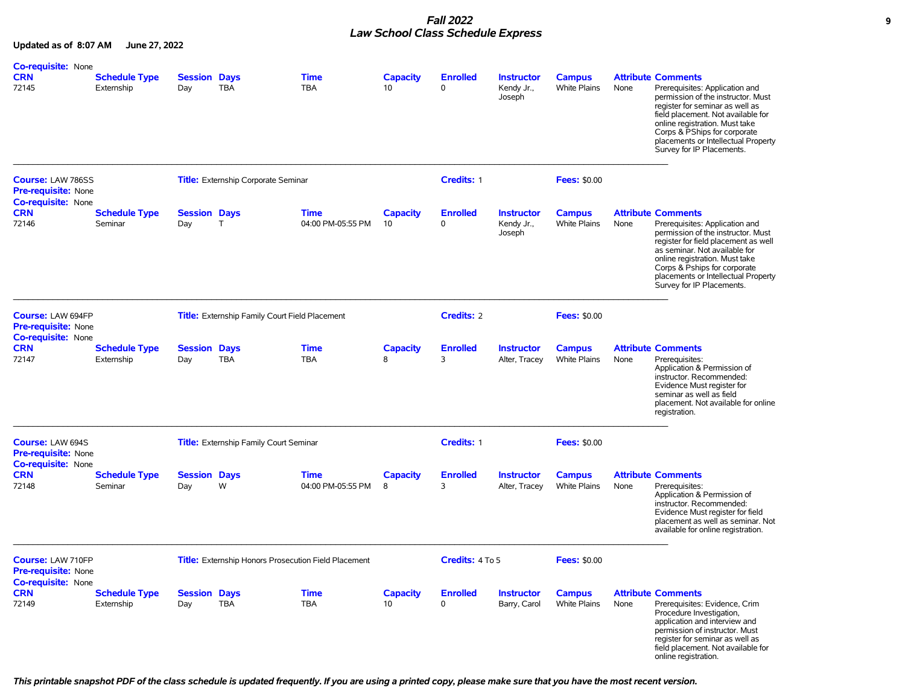## *Fall 2022* **9** *Law School Class Schedule Express*

**Updated as of 8:07 AM June 27, 2022**

| Co-requisite: None                                                    |                                    |                            |                                                      |                                  |                       |                             |                                           |                                      |      |                                                                                                                                                                                                                                                                                                                  |
|-----------------------------------------------------------------------|------------------------------------|----------------------------|------------------------------------------------------|----------------------------------|-----------------------|-----------------------------|-------------------------------------------|--------------------------------------|------|------------------------------------------------------------------------------------------------------------------------------------------------------------------------------------------------------------------------------------------------------------------------------------------------------------------|
| <b>CRN</b><br>72145                                                   | <b>Schedule Type</b><br>Externship | <b>Session Days</b><br>Day | <b>TBA</b>                                           | Time<br><b>TBA</b>               | Capacity<br>10        | <b>Enrolled</b><br>$\Omega$ | <b>Instructor</b><br>Kendy Jr.,<br>Joseph | <b>Campus</b><br><b>White Plains</b> | None | <b>Attribute Comments</b><br>Prerequisites: Application and<br>permission of the instructor. Must<br>register for seminar as well as<br>field placement. Not available for<br>online registration. Must take<br>Corps & PShips for corporate<br>placements or Intellectual Property<br>Survey for IP Placements. |
| <b>Course: LAW 786SS</b><br><b>Pre-requisite: None</b>                |                                    |                            | <b>Title:</b> Externship Corporate Seminar           |                                  |                       | Credits: 1                  |                                           | <b>Fees: \$0.00</b>                  |      |                                                                                                                                                                                                                                                                                                                  |
| <b>Co-requisite: None</b><br><b>CRN</b><br>72146                      | <b>Schedule Type</b><br>Seminar    | <b>Session Days</b><br>Day | T                                                    | <b>Time</b><br>04:00 PM-05:55 PM | <b>Capacity</b><br>10 | <b>Enrolled</b><br>0        | <b>Instructor</b><br>Kendy Jr.,<br>Joseph | <b>Campus</b><br><b>White Plains</b> | None | <b>Attribute Comments</b><br>Prerequisites: Application and<br>permission of the instructor. Must<br>register for field placement as well<br>as seminar. Not available for<br>online registration. Must take<br>Corps & Pships for corporate<br>placements or Intellectual Property<br>Survey for IP Placements. |
| <b>Course: LAW 694FP</b><br>Pre-requisite: None                       |                                    |                            | Title: Externship Family Court Field Placement       |                                  |                       | <b>Credits: 2</b>           |                                           | <b>Fees: \$0.00</b>                  |      |                                                                                                                                                                                                                                                                                                                  |
| <b>Co-requisite: None</b><br><b>CRN</b><br>72147                      | <b>Schedule Type</b><br>Externship | <b>Session Days</b><br>Day | <b>TBA</b>                                           | <b>Time</b><br>TBA               | <b>Capacity</b><br>8  | <b>Enrolled</b><br>3        | <b>Instructor</b><br>Alter, Tracey        | <b>Campus</b><br><b>White Plains</b> | None | <b>Attribute Comments</b><br>Prerequisites:<br>Application & Permission of<br>instructor. Recommended:<br>Evidence Must register for<br>seminar as well as field<br>placement. Not available for online<br>registration.                                                                                         |
| <b>Course: LAW 694S</b><br><b>Pre-requisite: None</b>                 |                                    |                            | Title: Externship Family Court Seminar               |                                  |                       | Credits: 1                  |                                           | <b>Fees: \$0.00</b>                  |      |                                                                                                                                                                                                                                                                                                                  |
| <b>Co-requisite: None</b><br><b>CRN</b><br>72148                      | Schedule Type<br>Seminar           | <b>Session Days</b><br>Day | W                                                    | <b>Time</b><br>04:00 PM-05:55 PM | <b>Capacity</b><br>8  | <b>Enrolled</b><br>3        | <b>Instructor</b><br>Alter, Tracey        | <b>Campus</b><br><b>White Plains</b> | None | <b>Attribute Comments</b><br>Prerequisites:<br>Application & Permission of<br>instructor. Recommended:<br>Evidence Must register for field<br>placement as well as seminar. Not<br>available for online registration.                                                                                            |
| Course: LAW 710FP<br>Pre-requisite: None<br><b>Co-requisite: None</b> |                                    |                            | Title: Externship Honors Prosecution Field Placement |                                  |                       | Credits: 4 To 5             |                                           | <b>Fees: \$0.00</b>                  |      |                                                                                                                                                                                                                                                                                                                  |
| <b>CRN</b><br>72149                                                   | <b>Schedule Type</b><br>Externship | <b>Session Days</b><br>Day | TBA                                                  | <b>Time</b><br>TBA               | <b>Capacity</b><br>10 | <b>Enrolled</b><br>0        | <b>Instructor</b><br>Barry, Carol         | <b>Campus</b><br>White Plains        | None | <b>Attribute Comments</b><br>Prerequisites: Evidence, Crim<br>Procedure Investigation,<br>application and interview and<br>permission of instructor. Must<br>register for seminar as well as<br>field placement. Not available for<br>online registration.                                                       |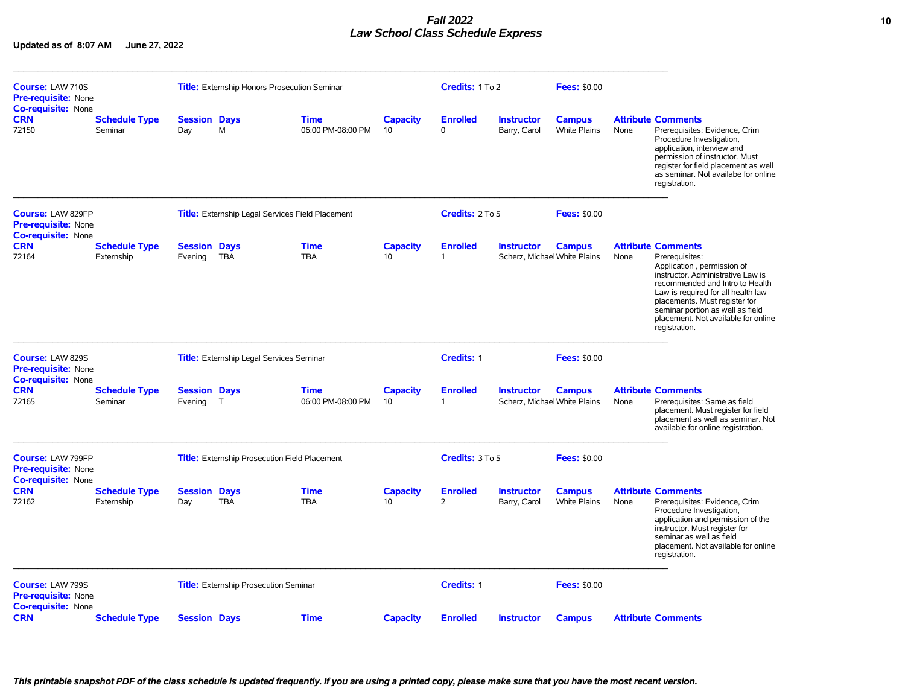## *Fall 2022* **10** *Law School Class Schedule Express*

| Course: LAW 710S<br><b>Pre-requisite: None</b>                                      |                                    |                                | <b>Title:</b> Externship Honors Prosecution Seminar     |                                  |                       | Credits: 1 To 2                 |                                   | <b>Fees: \$0.00</b>                           |      |                                                                                                                                                                                                                                                                                                                      |
|-------------------------------------------------------------------------------------|------------------------------------|--------------------------------|---------------------------------------------------------|----------------------------------|-----------------------|---------------------------------|-----------------------------------|-----------------------------------------------|------|----------------------------------------------------------------------------------------------------------------------------------------------------------------------------------------------------------------------------------------------------------------------------------------------------------------------|
| <b>Co-requisite: None</b><br><b>CRN</b><br>72150                                    | <b>Schedule Type</b><br>Seminar    | <b>Session Days</b><br>Day     | M                                                       | <b>Time</b><br>06:00 PM-08:00 PM | <b>Capacity</b><br>10 | <b>Enrolled</b><br>$\Omega$     | <b>Instructor</b><br>Barry, Carol | <b>Campus</b><br>White Plains                 | None | <b>Attribute Comments</b><br>Prerequisites: Evidence, Crim<br>Procedure Investigation,<br>application, interview and<br>permission of instructor. Must<br>register for field placement as well<br>as seminar. Not availabe for online<br>registration.                                                               |
| <b>Course: LAW 829FP</b><br><b>Pre-requisite: None</b><br><b>Co-requisite: None</b> |                                    |                                | <b>Title:</b> Externship Legal Services Field Placement |                                  |                       | Credits: 2 To 5                 |                                   | <b>Fees: \$0.00</b>                           |      |                                                                                                                                                                                                                                                                                                                      |
| <b>CRN</b><br>72164                                                                 | <b>Schedule Type</b><br>Externship | <b>Session Days</b><br>Evening | <b>TBA</b>                                              | <b>Time</b><br><b>TBA</b>        | <b>Capacity</b><br>10 | <b>Enrolled</b><br>$\mathbf{1}$ | <b>Instructor</b>                 | <b>Campus</b><br>Scherz. Michael White Plains | None | <b>Attribute Comments</b><br>Prerequisites:<br>Application, permission of<br>instructor, Administrative Law is<br>recommended and Intro to Health<br>Law is required for all health law<br>placements. Must register for<br>seminar portion as well as field<br>placement. Not available for online<br>registration. |
| Course: LAW 829S<br><b>Pre-requisite: None</b><br><b>Co-requisite: None</b>         |                                    |                                | <b>Title:</b> Externship Legal Services Seminar         |                                  |                       | Credits: 1                      |                                   | <b>Fees: \$0.00</b>                           |      |                                                                                                                                                                                                                                                                                                                      |
| <b>CRN</b><br>72165                                                                 | <b>Schedule Type</b><br>Seminar    | <b>Session Days</b><br>Evening | T                                                       | <b>Time</b><br>06:00 PM-08:00 PM | <b>Capacity</b><br>10 | <b>Enrolled</b><br>$\mathbf{1}$ | <b>Instructor</b>                 | <b>Campus</b><br>Scherz, Michael White Plains | None | <b>Attribute Comments</b><br>Prerequisites: Same as field<br>placement. Must register for field<br>placement as well as seminar. Not<br>available for online registration.                                                                                                                                           |
| <b>Course: LAW 799FP</b><br><b>Pre-requisite: None</b>                              |                                    |                                | <b>Title:</b> Externship Prosecution Field Placement    |                                  |                       | Credits: 3 To 5                 |                                   | <b>Fees: \$0.00</b>                           |      |                                                                                                                                                                                                                                                                                                                      |
| <b>Co-requisite: None</b><br><b>CRN</b><br>72162                                    | <b>Schedule Type</b><br>Externship | <b>Session Days</b><br>Day     | <b>TBA</b>                                              | <b>Time</b><br><b>TBA</b>        | <b>Capacity</b><br>10 | <b>Enrolled</b><br>2            | <b>Instructor</b><br>Barry, Carol | <b>Campus</b><br><b>White Plains</b>          | None | <b>Attribute Comments</b><br>Prerequisites: Evidence, Crim<br>Procedure Investigation,<br>application and permission of the<br>instructor. Must register for<br>seminar as well as field<br>placement. Not available for online<br>registration.                                                                     |
| Course: LAW 799S<br><b>Pre-requisite: None</b>                                      |                                    |                                | Title: Externship Prosecution Seminar                   |                                  |                       | Credits: 1                      |                                   | <b>Fees: \$0.00</b>                           |      |                                                                                                                                                                                                                                                                                                                      |
| <b>Co-requisite: None</b><br><b>CRN</b>                                             | <b>Schedule Type</b>               | <b>Session Days</b>            |                                                         | <b>Time</b>                      | <b>Capacity</b>       | <b>Enrolled</b>                 | <b>Instructor</b>                 | <b>Campus</b>                                 |      | <b>Attribute Comments</b>                                                                                                                                                                                                                                                                                            |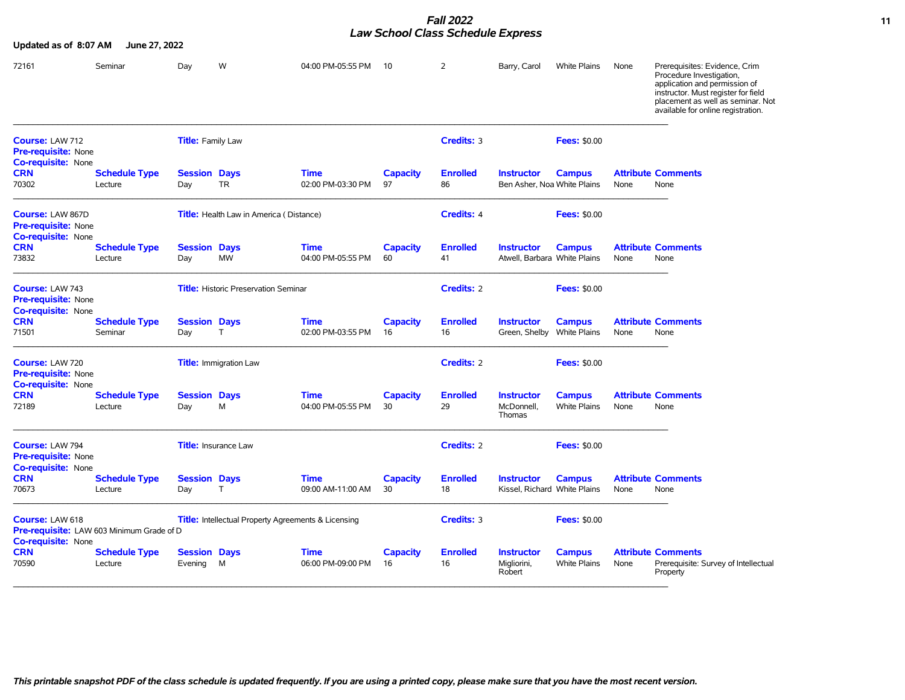#### *Fall 2022* **11** *Law School Class Schedule Express*

| Updated as of 8:07 AM                                                              | June 27, 2022                   |                                |                                                |                                                            |                       |                       |                                                   |                                      |      |                                                                                                                                                                                                              |
|------------------------------------------------------------------------------------|---------------------------------|--------------------------------|------------------------------------------------|------------------------------------------------------------|-----------------------|-----------------------|---------------------------------------------------|--------------------------------------|------|--------------------------------------------------------------------------------------------------------------------------------------------------------------------------------------------------------------|
| 72161                                                                              | Seminar                         | Day                            | W                                              | 04:00 PM-05:55 PM                                          | -10                   | 2                     | Barry, Carol                                      | White Plains                         | None | Prerequisites: Evidence, Crim<br>Procedure Investigation,<br>application and permission of<br>instructor. Must register for field<br>placement as well as seminar. Not<br>available for online registration. |
| Course: LAW 712<br><b>Pre-requisite: None</b><br>Co-requisite: None                |                                 | <b>Title:</b> Family Law       |                                                |                                                            |                       | Credits: 3            |                                                   | <b>Fees: \$0.00</b>                  |      |                                                                                                                                                                                                              |
| <b>CRN</b><br>70302                                                                | <b>Schedule Type</b><br>Lecture | <b>Session Days</b><br>Day     | <b>TR</b>                                      | <b>Time</b><br>02:00 PM-03:30 PM                           | <b>Capacity</b><br>97 | <b>Enrolled</b><br>86 | <b>Instructor</b><br>Ben Asher, Noa White Plains  | <b>Campus</b>                        | None | <b>Attribute Comments</b><br>None                                                                                                                                                                            |
| Course: LAW 867D<br><b>Pre-requisite: None</b><br>Co-requisite: None               |                                 |                                | <b>Title:</b> Health Law in America (Distance) |                                                            |                       | Credits: 4            |                                                   | <b>Fees: \$0.00</b>                  |      |                                                                                                                                                                                                              |
| <b>CRN</b><br>73832                                                                | <b>Schedule Type</b><br>Lecture | <b>Session Days</b><br>Day     | <b>MW</b>                                      | <b>Time</b><br>04:00 PM-05:55 PM                           | <b>Capacity</b><br>60 | <b>Enrolled</b><br>41 | <b>Instructor</b><br>Atwell, Barbara White Plains | <b>Campus</b>                        | None | <b>Attribute Comments</b><br>None                                                                                                                                                                            |
| Course: LAW 743<br><b>Pre-requisite: None</b><br><b>Co-requisite: None</b>         |                                 |                                | <b>Title:</b> Historic Preservation Seminar    |                                                            |                       | Credits: 2            |                                                   | <b>Fees: \$0.00</b>                  |      |                                                                                                                                                                                                              |
| <b>CRN</b><br>71501                                                                | <b>Schedule Type</b><br>Seminar | <b>Session Days</b><br>Day     | T                                              | <b>Time</b><br>02:00 PM-03:55 PM                           | <b>Capacity</b><br>16 | <b>Enrolled</b><br>16 | <b>Instructor</b><br>Green, Shelby                | <b>Campus</b><br>White Plains        | None | <b>Attribute Comments</b><br>None                                                                                                                                                                            |
| Course: LAW 720<br><b>Pre-requisite: None</b><br><b>Co-requisite: None</b>         |                                 |                                | <b>Title: Immigration Law</b>                  |                                                            |                       | Credits: 2            |                                                   | <b>Fees: \$0.00</b>                  |      |                                                                                                                                                                                                              |
| <b>CRN</b><br>72189                                                                | <b>Schedule Type</b><br>Lecture | <b>Session Days</b><br>Day     | M                                              | <b>Time</b><br>04:00 PM-05:55 PM                           | <b>Capacity</b><br>30 | <b>Enrolled</b><br>29 | <b>Instructor</b><br>McDonnell,<br>Thomas         | <b>Campus</b><br><b>White Plains</b> | None | <b>Attribute Comments</b><br>None                                                                                                                                                                            |
| Course: LAW 794<br>Pre-requisite: None<br>Co-requisite: None                       |                                 |                                | <b>Title:</b> Insurance Law                    |                                                            |                       | <b>Credits: 2</b>     |                                                   | <b>Fees: \$0.00</b>                  |      |                                                                                                                                                                                                              |
| <b>CRN</b><br>70673                                                                | <b>Schedule Type</b><br>Lecture | <b>Session Days</b><br>Day     | T                                              | <b>Time</b><br>09:00 AM-11:00 AM                           | <b>Capacity</b><br>30 | <b>Enrolled</b><br>18 | <b>Instructor</b><br>Kissel, Richard White Plains | <b>Campus</b>                        | None | <b>Attribute Comments</b><br>None                                                                                                                                                                            |
| Course: LAW 618<br>Pre-requisite: LAW 603 Minimum Grade of D<br>Co-requisite: None |                                 |                                |                                                | <b>Title:</b> Intellectual Property Agreements & Licensing |                       | Credits: 3            |                                                   | <b>Fees: \$0.00</b>                  |      |                                                                                                                                                                                                              |
| <b>CRN</b><br>70590                                                                | <b>Schedule Type</b><br>Lecture | <b>Session Days</b><br>Evening | M                                              | <b>Time</b><br>06:00 PM-09:00 PM                           | <b>Capacity</b><br>16 | <b>Enrolled</b><br>16 | <b>Instructor</b><br>Migliorini,<br>Robert        | <b>Campus</b><br><b>White Plains</b> | None | <b>Attribute Comments</b><br>Prerequisite: Survey of Intellectual<br>Property                                                                                                                                |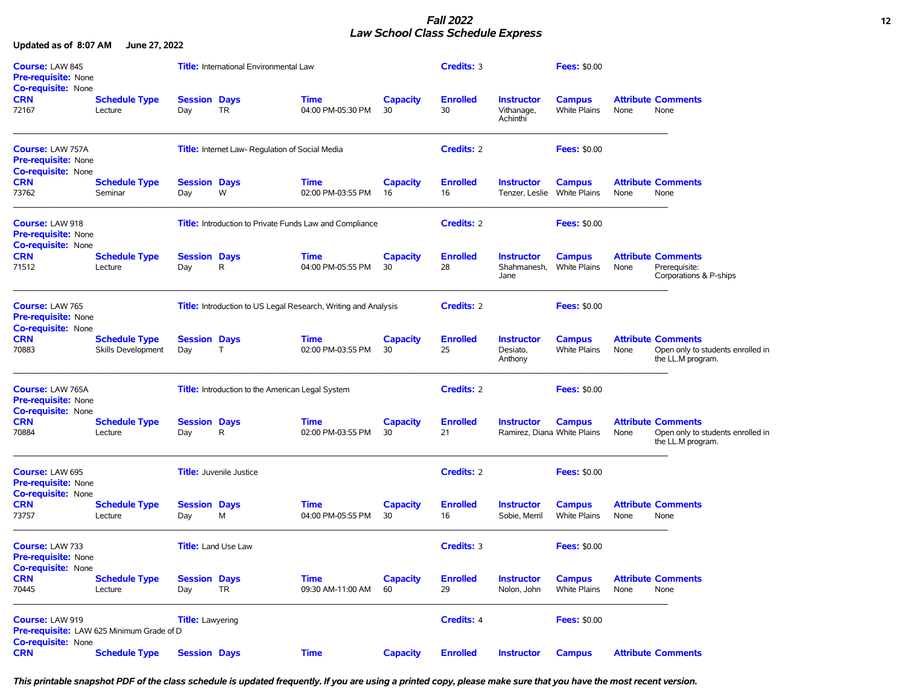## *Fall 2022* **12** *Law School Class Schedule Express*

**Updated as of 8:07 AM June 27, 2022**

| <b>Course: LAW 845</b><br><b>Pre-requisite: None</b><br><b>Co-requisite: None</b> |                                            |                            | <b>Title:</b> International Environmental Law    |                                                                |                       | Credits: 3            |                                                  | <b>Fees: \$0.00</b>                  |      |                                                                                     |
|-----------------------------------------------------------------------------------|--------------------------------------------|----------------------------|--------------------------------------------------|----------------------------------------------------------------|-----------------------|-----------------------|--------------------------------------------------|--------------------------------------|------|-------------------------------------------------------------------------------------|
| <b>CRN</b><br>72167                                                               | <b>Schedule Type</b><br>Lecture            | <b>Session Days</b><br>Day | TR                                               | <b>Time</b><br>04:00 PM-05:30 PM                               | <b>Capacity</b><br>30 | <b>Enrolled</b><br>30 | <b>Instructor</b><br>Vithanage,<br>Achinthi      | <b>Campus</b><br><b>White Plains</b> | None | <b>Attribute Comments</b><br>None                                                   |
| Course: LAW 757A<br><b>Pre-requisite: None</b><br><b>Co-requisite: None</b>       |                                            |                            | Title: Internet Law- Regulation of Social Media  |                                                                |                       | <b>Credits: 2</b>     |                                                  | <b>Fees: \$0.00</b>                  |      |                                                                                     |
| <b>CRN</b><br>73762                                                               | <b>Schedule Type</b><br>Seminar            | <b>Session Days</b><br>Day | W                                                | <b>Time</b><br>02:00 PM-03:55 PM                               | <b>Capacity</b><br>16 | <b>Enrolled</b><br>16 | <b>Instructor</b><br>Tenzer, Leslie White Plains | <b>Campus</b>                        | None | <b>Attribute Comments</b><br>None                                                   |
| Course: LAW 918<br>Pre-requisite: None<br><b>Co-requisite: None</b>               |                                            |                            |                                                  | <b>Title:</b> Introduction to Private Funds Law and Compliance |                       | <b>Credits: 2</b>     |                                                  | <b>Fees: \$0.00</b>                  |      |                                                                                     |
| <b>CRN</b><br>71512                                                               | <b>Schedule Type</b><br>Lecture            | <b>Session Days</b><br>Day | R                                                | <b>Time</b><br>04:00 PM-05:55 PM                               | <b>Capacity</b><br>30 | <b>Enrolled</b><br>28 | <b>Instructor</b><br>Shahmanesh,<br>Jane         | <b>Campus</b><br>White Plains        | None | <b>Attribute Comments</b><br>Prerequisite:<br>Corporations & P-ships                |
| Course: LAW 765<br><b>Pre-requisite: None</b><br><b>Co-requisite: None</b>        |                                            |                            |                                                  | Title: Introduction to US Legal Research, Writing and Analysis |                       | <b>Credits: 2</b>     |                                                  | <b>Fees: \$0.00</b>                  |      |                                                                                     |
| <b>CRN</b><br>70883                                                               | <b>Schedule Type</b><br>Skills Development | <b>Session Days</b><br>Day | Τ                                                | <b>Time</b><br>02:00 PM-03:55 PM                               | <b>Capacity</b><br>30 | <b>Enrolled</b><br>25 | <b>Instructor</b><br>Desiato,<br>Anthony         | <b>Campus</b><br><b>White Plains</b> | None | <b>Attribute Comments</b><br>Open only to students enrolled in<br>the LL.M program. |
| <b>Course: LAW 765A</b><br><b>Pre-requisite: None</b>                             |                                            |                            | Title: Introduction to the American Legal System |                                                                |                       | <b>Credits: 2</b>     |                                                  | <b>Fees: \$0.00</b>                  |      |                                                                                     |
| <b>Co-requisite: None</b><br><b>CRN</b><br>70884                                  | <b>Schedule Type</b><br>Lecture            | <b>Session Days</b><br>Day | R                                                | <b>Time</b><br>02:00 PM-03:55 PM                               | <b>Capacity</b><br>30 | <b>Enrolled</b><br>21 | <b>Instructor</b><br>Ramirez, Diana White Plains | <b>Campus</b>                        | None | <b>Attribute Comments</b><br>Open only to students enrolled in<br>the LL.M program. |
| Course: LAW 695<br><b>Pre-requisite: None</b><br><b>Co-requisite: None</b>        |                                            |                            | <b>Title:</b> Juvenile Justice                   |                                                                |                       | <b>Credits: 2</b>     |                                                  | <b>Fees: \$0.00</b>                  |      |                                                                                     |
| <b>CRN</b><br>73757                                                               | <b>Schedule Type</b><br>Lecture            | <b>Session Days</b><br>Day | М                                                | <b>Time</b><br>04:00 PM-05:55 PM                               | <b>Capacity</b><br>30 | <b>Enrolled</b><br>16 | <b>Instructor</b><br>Sobie, Merril               | <b>Campus</b><br><b>White Plains</b> | None | <b>Attribute Comments</b><br>None                                                   |
| Course: LAW 733<br><b>Pre-requisite: None</b>                                     |                                            |                            | <b>Title:</b> Land Use Law                       |                                                                |                       | Credits: 3            |                                                  | <b>Fees: \$0.00</b>                  |      |                                                                                     |
| Co-requisite: None<br><b>CRN</b><br>70445                                         | <b>Schedule Type</b><br>Lecture            | <b>Session Days</b><br>Day | <b>TR</b>                                        | <b>Time</b><br>09:30 AM-11:00 AM                               | <b>Capacity</b><br>60 | <b>Enrolled</b><br>29 | <b>Instructor</b><br>Nolon, John                 | <b>Campus</b><br>White Plains        | None | <b>Attribute Comments</b><br>None                                                   |
| Course: LAW 919<br>Pre-requisite: LAW 625 Minimum Grade of D                      |                                            | <b>Title:</b> Lawyering    |                                                  |                                                                |                       | Credits: 4            |                                                  | <b>Fees: \$0.00</b>                  |      |                                                                                     |
| <b>Co-requisite: None</b><br><b>CRN</b>                                           | <b>Schedule Type</b>                       | <b>Session Days</b>        |                                                  | <b>Time</b>                                                    | <b>Capacity</b>       | <b>Enrolled</b>       | <b>Instructor</b>                                | <b>Campus</b>                        |      | <b>Attribute Comments</b>                                                           |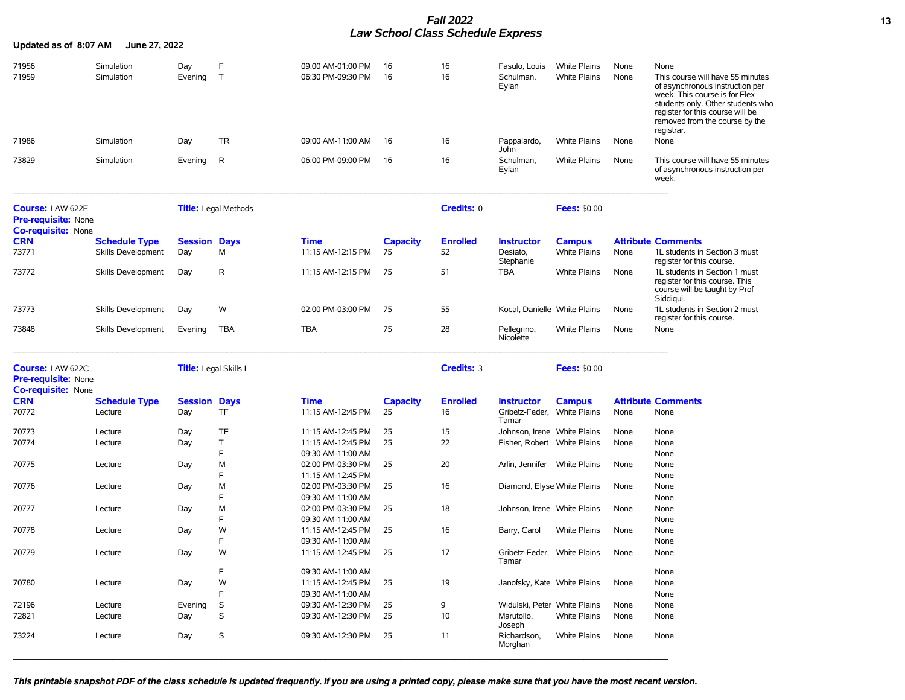# *Fall 2022* **13** *Law School Class Schedule Express*

| Updated as of 8:07 AM                                                              | June 27, 2022             |                              |                             |                                        |                 |                 |                                      |                     |      |                                                                                                                                                                                                                               |
|------------------------------------------------------------------------------------|---------------------------|------------------------------|-----------------------------|----------------------------------------|-----------------|-----------------|--------------------------------------|---------------------|------|-------------------------------------------------------------------------------------------------------------------------------------------------------------------------------------------------------------------------------|
| 71956                                                                              | Simulation                | Day                          | F                           | 09:00 AM-01:00 PM                      | 16              | 16              | Fasulo, Louis                        | <b>White Plains</b> | None | None                                                                                                                                                                                                                          |
| 71959                                                                              | Simulation                | Evening                      | $\top$                      | 06:30 PM-09:30 PM                      | 16              | 16              | Schulman,<br>Eylan                   | <b>White Plains</b> | None | This course will have 55 minutes<br>of asynchronous instruction per<br>week. This course is for Flex<br>students only. Other students who<br>register for this course will be<br>removed from the course by the<br>registrar. |
| 71986                                                                              | Simulation                | Day                          | TR                          | 09:00 AM-11:00 AM                      | 16              | 16              | Pappalardo,<br>John                  | <b>White Plains</b> | None | None                                                                                                                                                                                                                          |
| 73829                                                                              | Simulation                | Evening                      | R                           | 06:00 PM-09:00 PM                      | -16             | 16              | Schulman,<br>Eylan                   | <b>White Plains</b> | None | This course will have 55 minutes<br>of asynchronous instruction per<br>week.                                                                                                                                                  |
| <b>Course: LAW 622E</b><br><b>Pre-requisite: None</b><br><b>Co-requisite: None</b> |                           |                              | <b>Title:</b> Legal Methods |                                        |                 | Credits: 0      |                                      | <b>Fees: \$0.00</b> |      |                                                                                                                                                                                                                               |
| <b>CRN</b>                                                                         | <b>Schedule Type</b>      | <b>Session Days</b>          |                             | Time                                   | <b>Capacity</b> | <b>Enrolled</b> | <b>Instructor</b>                    | <b>Campus</b>       |      | <b>Attribute Comments</b>                                                                                                                                                                                                     |
| 73771                                                                              | Skills Development        | Day                          | м                           | 11:15 AM-12:15 PM                      | 75              | 52              | Desiato,<br>Stephanie                | <b>White Plains</b> | None | 1L students in Section 3 must<br>register for this course.                                                                                                                                                                    |
| 73772                                                                              | Skills Development        | Day                          | $\mathsf{R}$                | 11:15 AM-12:15 PM                      | 75              | 51              | <b>TBA</b>                           | White Plains        | None | 1L students in Section 1 must<br>register for this course. This<br>course will be taught by Prof<br>Siddiqui.                                                                                                                 |
| 73773                                                                              | <b>Skills Development</b> | Day                          | W                           | 02:00 PM-03:00 PM                      | 75              | 55              | Kocal, Danielle White Plains         |                     | None | 1L students in Section 2 must<br>register for this course.                                                                                                                                                                    |
| 73848                                                                              | Skills Development        | Evening                      | TBA                         | <b>TBA</b>                             | 75              | 28              | Pellegrino,<br>Nicolette             | White Plains        | None | None                                                                                                                                                                                                                          |
| Course: LAW 622C<br><b>Pre-requisite: None</b><br><b>Co-requisite: None</b>        |                           | <b>Title:</b> Legal Skills I |                             |                                        |                 | Credits: 3      |                                      | <b>Fees: \$0.00</b> |      |                                                                                                                                                                                                                               |
| <b>CRN</b>                                                                         | <b>Schedule Type</b>      | <b>Session Days</b>          |                             | Time                                   | <b>Capacity</b> | <b>Enrolled</b> | <b>Instructor</b>                    | <b>Campus</b>       |      | <b>Attribute Comments</b>                                                                                                                                                                                                     |
| 70772                                                                              | Lecture                   | Day                          | <b>TF</b>                   | 11:15 AM-12:45 PM                      | 25              | 16              | Gribetz-Feder, White Plains<br>Tamar |                     | None | None                                                                                                                                                                                                                          |
| 70773                                                                              | Lecture                   | Day                          | TF                          | 11:15 AM-12:45 PM                      | 25              | 15              | Johnson, Irene White Plains          |                     | None | None                                                                                                                                                                                                                          |
| 70774                                                                              | Lecture                   | Day                          | T<br>F                      | 11:15 AM-12:45 PM<br>09:30 AM-11:00 AM | 25              | 22              | Fisher, Robert White Plains          |                     | None | None<br>None                                                                                                                                                                                                                  |
| 70775                                                                              | Lecture                   | Day                          | м                           | 02:00 PM-03:30 PM                      | 25              | 20              | Arlin, Jennifer White Plains         |                     | None | None                                                                                                                                                                                                                          |
|                                                                                    |                           |                              | F                           | 11:15 AM-12:45 PM                      |                 |                 |                                      |                     |      | None                                                                                                                                                                                                                          |
| 70776                                                                              | Lecture                   | Day                          | M                           | 02:00 PM-03:30 PM                      | 25              | 16              | Diamond, Elyse White Plains          |                     | None | None                                                                                                                                                                                                                          |
|                                                                                    |                           |                              | F                           | 09:30 AM-11:00 AM                      |                 |                 |                                      |                     |      | None                                                                                                                                                                                                                          |
| 70777                                                                              | Lecture                   | Day                          | M                           | 02:00 PM-03:30 PM                      | 25              | 18              | Johnson, Irene White Plains          |                     | None | None                                                                                                                                                                                                                          |
|                                                                                    |                           |                              | F                           | 09:30 AM-11:00 AM                      |                 |                 |                                      |                     |      | None                                                                                                                                                                                                                          |
| 70778                                                                              | Lecture                   | Day                          | W                           | 11:15 AM-12:45 PM                      | 25              | 16              | Barry, Carol                         | <b>White Plains</b> | None | None                                                                                                                                                                                                                          |
|                                                                                    |                           |                              | E                           | 09:30 AM-11:00 AM                      |                 |                 |                                      |                     |      | None                                                                                                                                                                                                                          |
| 70779                                                                              | Lecture                   | Day                          | W                           | 11:15 AM-12:45 PM                      | 25              | 17              | Gribetz-Feder, White Plains<br>Tamar |                     | None | None                                                                                                                                                                                                                          |
|                                                                                    |                           |                              | F                           | 09:30 AM-11:00 AM                      |                 |                 |                                      |                     |      | None                                                                                                                                                                                                                          |
| 70780                                                                              | Lecture                   | Day                          | W                           | 11:15 AM-12:45 PM                      | 25              | 19              | Janofsky, Kate White Plains          |                     | None | None                                                                                                                                                                                                                          |
|                                                                                    |                           |                              | F                           | 09:30 AM-11:00 AM                      |                 |                 |                                      |                     |      | None                                                                                                                                                                                                                          |
| 72196                                                                              | Lecture                   | Evening                      | S                           | 09:30 AM-12:30 PM                      | 25              | 9               | Widulski, Peter White Plains         |                     | None | None                                                                                                                                                                                                                          |
| 72821                                                                              | Lecture                   | Day                          | S                           | 09:30 AM-12:30 PM                      | 25              | 10              | Marutollo,<br>Joseph                 | <b>White Plains</b> | None | None                                                                                                                                                                                                                          |
| 73224                                                                              | Lecture                   | Day                          | $\mathsf S$                 | 09:30 AM-12:30 PM                      | 25              | 11              | Richardson.<br>Morghan               | White Plains        | None | None                                                                                                                                                                                                                          |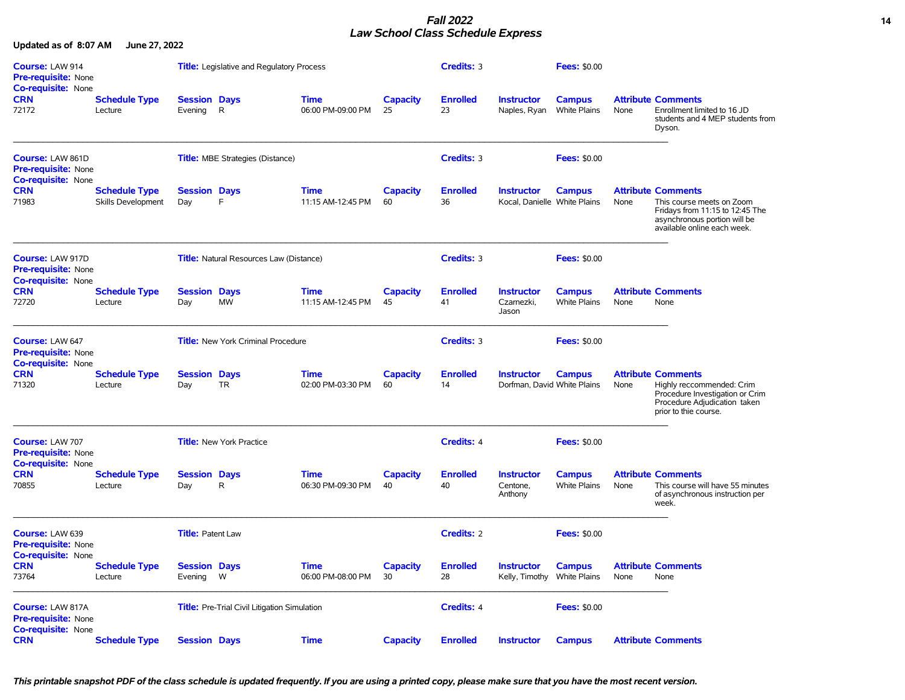## *Fall 2022* **14** *Law School Class Schedule Express*

**Updated as of 8:07 AM June 27, 2022**

| Course: LAW 914<br><b>Pre-requisite: None</b><br><b>Co-requisite: None</b>         |                                            |                                | <b>Title:</b> Legislative and Regulatory Process    |                                  |                       | Credits: 3            |                                                   | <b>Fees: \$0.00</b>                  |      |                                                                                                                                                          |
|------------------------------------------------------------------------------------|--------------------------------------------|--------------------------------|-----------------------------------------------------|----------------------------------|-----------------------|-----------------------|---------------------------------------------------|--------------------------------------|------|----------------------------------------------------------------------------------------------------------------------------------------------------------|
| <b>CRN</b><br>72172                                                                | <b>Schedule Type</b><br>Lecture            | <b>Session Days</b><br>Evening | R.                                                  | Time<br>06:00 PM-09:00 PM        | <b>Capacity</b><br>25 | <b>Enrolled</b><br>23 | <b>Instructor</b><br>Naples, Ryan                 | <b>Campus</b><br>White Plains        | None | <b>Attribute Comments</b><br>Enrollment limited to 16 JD<br>students and 4 MEP students from<br>Dyson.                                                   |
| <b>Course: LAW 861D</b><br><b>Pre-requisite: None</b><br><b>Co-requisite: None</b> |                                            |                                | <b>Title:</b> MBE Strategies (Distance)             |                                  |                       | Credits: 3            |                                                   | <b>Fees: \$0.00</b>                  |      |                                                                                                                                                          |
| <b>CRN</b><br>71983                                                                | <b>Schedule Type</b><br>Skills Development | <b>Session Days</b><br>Day     | E                                                   | <b>Time</b><br>11:15 AM-12:45 PM | <b>Capacity</b><br>60 | <b>Enrolled</b><br>36 | <b>Instructor</b><br>Kocal, Danielle White Plains | <b>Campus</b>                        | None | <b>Attribute Comments</b><br>This course meets on Zoom<br>Fridays from 11:15 to 12:45 The<br>asynchronous portion will be<br>available online each week. |
| <b>Course: LAW 917D</b><br>Pre-requisite: None                                     |                                            |                                | <b>Title:</b> Natural Resources Law (Distance)      |                                  |                       | Credits: 3            |                                                   | <b>Fees: \$0.00</b>                  |      |                                                                                                                                                          |
| <b>Co-requisite: None</b><br><b>CRN</b><br>72720                                   | <b>Schedule Type</b><br>Lecture            | <b>Session Days</b><br>Day     | <b>MW</b>                                           | <b>Time</b><br>11:15 AM-12:45 PM | <b>Capacity</b><br>45 | <b>Enrolled</b><br>41 | <b>Instructor</b><br>Czarnezki,<br>Jason          | <b>Campus</b><br><b>White Plains</b> | None | <b>Attribute Comments</b><br>None                                                                                                                        |
| Course: LAW 647<br><b>Pre-requisite: None</b><br>Co-requisite: None                |                                            |                                | <b>Title:</b> New York Criminal Procedure           |                                  |                       | <b>Credits: 3</b>     |                                                   | <b>Fees: \$0.00</b>                  |      |                                                                                                                                                          |
| <b>CRN</b><br>71320                                                                | <b>Schedule Type</b><br>Lecture            | <b>Session Days</b><br>Day     | <b>TR</b>                                           | <b>Time</b><br>02:00 PM-03:30 PM | <b>Capacity</b><br>60 | <b>Enrolled</b><br>14 | <b>Instructor</b><br>Dorfman, David White Plains  | <b>Campus</b>                        | None | <b>Attribute Comments</b><br>Highly reccommended: Crim<br>Procedure Investigation or Crim<br>Procedure Adjudication taken<br>prior to thie course.       |
| Course: LAW 707<br><b>Pre-requisite: None</b><br><b>Co-requisite: None</b>         |                                            |                                | <b>Title:</b> New York Practice                     |                                  |                       | <b>Credits: 4</b>     |                                                   | <b>Fees: \$0.00</b>                  |      |                                                                                                                                                          |
| <b>CRN</b><br>70855                                                                | <b>Schedule Type</b><br>Lecture            | <b>Session Days</b><br>Day     | R.                                                  | <b>Time</b><br>06:30 PM-09:30 PM | <b>Capacity</b><br>40 | <b>Enrolled</b><br>40 | <b>Instructor</b><br>Centone,<br>Anthony          | <b>Campus</b><br><b>White Plains</b> | None | <b>Attribute Comments</b><br>This course will have 55 minutes<br>of asynchronous instruction per<br>week.                                                |
| Course: LAW 639<br><b>Pre-requisite: None</b><br><b>Co-requisite: None</b>         |                                            | <b>Title: Patent Law</b>       |                                                     |                                  |                       | Credits: 2            |                                                   | <b>Fees: \$0.00</b>                  |      |                                                                                                                                                          |
| <b>CRN</b><br>73764                                                                | <b>Schedule Type</b><br>Lecture            | <b>Session Days</b><br>Evening | W                                                   | <b>Time</b><br>06:00 PM-08:00 PM | <b>Capacity</b><br>30 | <b>Enrolled</b><br>28 | <b>Instructor</b><br>Kelly, Timothy               | <b>Campus</b><br><b>White Plains</b> | None | <b>Attribute Comments</b><br>None                                                                                                                        |
| Course: LAW 817A<br><b>Pre-requisite: None</b><br><b>Co-requisite: None</b>        |                                            |                                | <b>Title:</b> Pre-Trial Civil Litigation Simulation |                                  |                       | <b>Credits: 4</b>     |                                                   | <b>Fees: \$0.00</b>                  |      |                                                                                                                                                          |
| <b>CRN</b>                                                                         | <b>Schedule Type</b>                       | <b>Session Days</b>            |                                                     | <b>Time</b>                      | <b>Capacity</b>       | <b>Enrolled</b>       | <b>Instructor</b>                                 | <b>Campus</b>                        |      | <b>Attribute Comments</b>                                                                                                                                |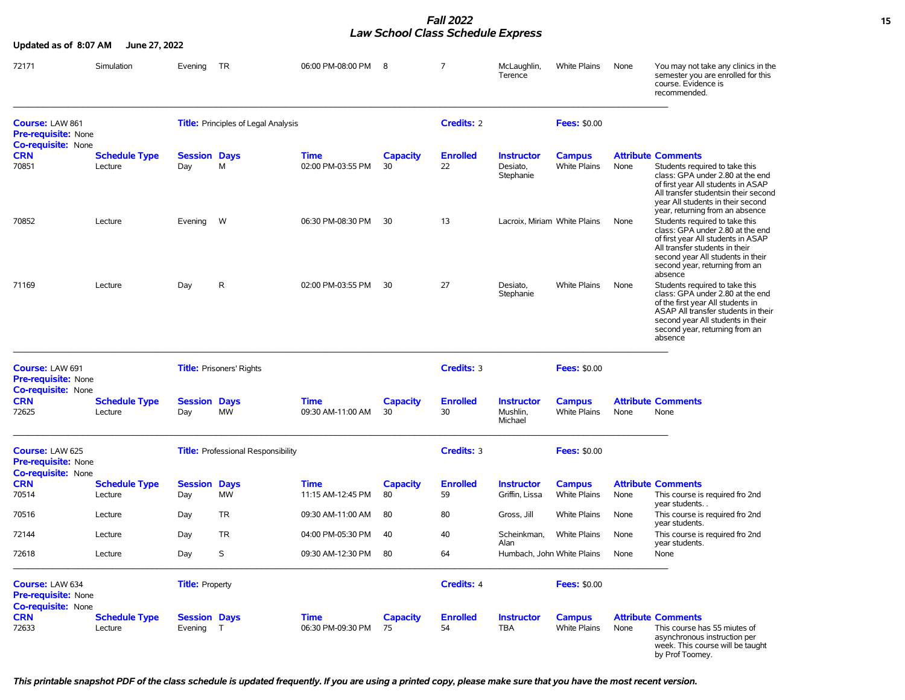#### *Fall 2022* **15** *Law School Class Schedule Express*

| Updated as of 8:07 AM                                                             | June 27, 2022                   |                                  |                                            |                                  |                       |                       |                                            |                                      |      |                                                                                                                                                                                                                                                       |
|-----------------------------------------------------------------------------------|---------------------------------|----------------------------------|--------------------------------------------|----------------------------------|-----------------------|-----------------------|--------------------------------------------|--------------------------------------|------|-------------------------------------------------------------------------------------------------------------------------------------------------------------------------------------------------------------------------------------------------------|
| 72171                                                                             | Simulation                      | Evening                          | TR                                         | 06:00 PM-08:00 PM                | - 8                   | 7                     | McLaughlin,<br>Terence                     | <b>White Plains</b>                  | None | You may not take any clinics in the<br>semester you are enrolled for this<br>course. Evidence is<br>recommended.                                                                                                                                      |
| Course: LAW 861<br><b>Pre-requisite: None</b><br><b>Co-requisite: None</b>        |                                 |                                  | <b>Title:</b> Principles of Legal Analysis |                                  |                       | <b>Credits: 2</b>     |                                            | <b>Fees: \$0.00</b>                  |      |                                                                                                                                                                                                                                                       |
| <b>CRN</b><br>70851                                                               | <b>Schedule Type</b><br>Lecture | <b>Session Days</b><br>Day       | М                                          | Time<br>02:00 PM-03:55 PM        | <b>Capacity</b><br>30 | <b>Enrolled</b><br>22 | <b>Instructor</b><br>Desiato,<br>Stephanie | <b>Campus</b><br><b>White Plains</b> | None | <b>Attribute Comments</b><br>Students required to take this<br>class: GPA under 2.80 at the end<br>of first year All students in ASAP<br>All transfer studentsin their second<br>year All students in their second<br>year, returning from an absence |
| 70852                                                                             | Lecture                         | Evening                          | W                                          | 06:30 PM-08:30 PM                | 30                    | 13                    | Lacroix, Miriam White Plains               |                                      | None | Students required to take this<br>class: GPA under 2.80 at the end<br>of first year All students in ASAP<br>All transfer students in their<br>second year All students in their<br>second year, returning from an<br>absence                          |
| 71169                                                                             | Lecture                         | Day                              | R                                          | 02:00 PM-03:55 PM                | 30                    | 27                    | Desiato,<br>Stephanie                      | <b>White Plains</b>                  | None | Students required to take this<br>class: GPA under 2.80 at the end<br>of the first year All students in<br>ASAP All transfer students in their<br>second year All students in their<br>second year, returning from an<br>absence                      |
| <b>Course: LAW 691</b><br><b>Pre-requisite: None</b><br><b>Co-requisite: None</b> |                                 |                                  | <b>Title:</b> Prisoners' Rights            |                                  |                       | Credits: 3            |                                            | <b>Fees: \$0.00</b>                  |      |                                                                                                                                                                                                                                                       |
| <b>CRN</b><br>72625                                                               | <b>Schedule Type</b><br>Lecture | <b>Session Days</b><br>Day       | <b>MW</b>                                  | Time<br>09:30 AM-11:00 AM        | <b>Capacity</b><br>30 | <b>Enrolled</b><br>30 | <b>Instructor</b><br>Mushlin,<br>Michael   | <b>Campus</b><br><b>White Plains</b> | None | <b>Attribute Comments</b><br>None                                                                                                                                                                                                                     |
| Course: LAW 625<br><b>Pre-requisite: None</b><br><b>Co-requisite: None</b>        |                                 |                                  | <b>Title:</b> Professional Responsibility  |                                  |                       | Credits: 3            |                                            | <b>Fees: \$0.00</b>                  |      |                                                                                                                                                                                                                                                       |
| <b>CRN</b><br>70514                                                               | <b>Schedule Type</b><br>Lecture | <b>Session Days</b><br>Day       | <b>MW</b>                                  | <b>Time</b><br>11:15 AM-12:45 PM | <b>Capacity</b><br>80 | <b>Enrolled</b><br>59 | <b>Instructor</b><br>Griffin, Lissa        | <b>Campus</b><br><b>White Plains</b> | None | <b>Attribute Comments</b><br>This course is required fro 2nd<br>year students                                                                                                                                                                         |
| 70516                                                                             | Lecture                         | Day                              | TR                                         | 09:30 AM-11:00 AM                | 80                    | 80                    | Gross, Jill                                | White Plains                         | None | This course is required fro 2nd<br>year students.                                                                                                                                                                                                     |
| 72144                                                                             | Lecture                         | Day                              | <b>TR</b>                                  | 04:00 PM-05:30 PM                | 40                    | 40                    | Scheinkman.                                | <b>White Plains</b>                  | None | This course is required fro 2nd                                                                                                                                                                                                                       |
| 72618                                                                             | Lecture                         | Day                              | S                                          | 09:30 AM-12:30 PM                | 80                    | 64                    | Alan<br>Humbach, John White Plains         |                                      | None | year students.<br>None                                                                                                                                                                                                                                |
| Course: LAW 634<br><b>Pre-requisite: None</b><br>Co-requisite: None               |                                 | <b>Title: Property</b>           |                                            |                                  |                       | Credits: 4            |                                            | <b>Fees: \$0.00</b>                  |      |                                                                                                                                                                                                                                                       |
| <b>CRN</b><br>72633                                                               | <b>Schedule Type</b><br>Lecture | <b>Session Days</b><br>Evening T |                                            | Time<br>06:30 PM-09:30 PM        | <b>Capacity</b><br>75 | <b>Enrolled</b><br>54 | <b>Instructor</b><br><b>TBA</b>            | <b>Campus</b><br><b>White Plains</b> | None | <b>Attribute Comments</b><br>This course has 55 miutes of<br>asynchronous instruction per<br>week. This course will be taught<br>by Prof Toomey.                                                                                                      |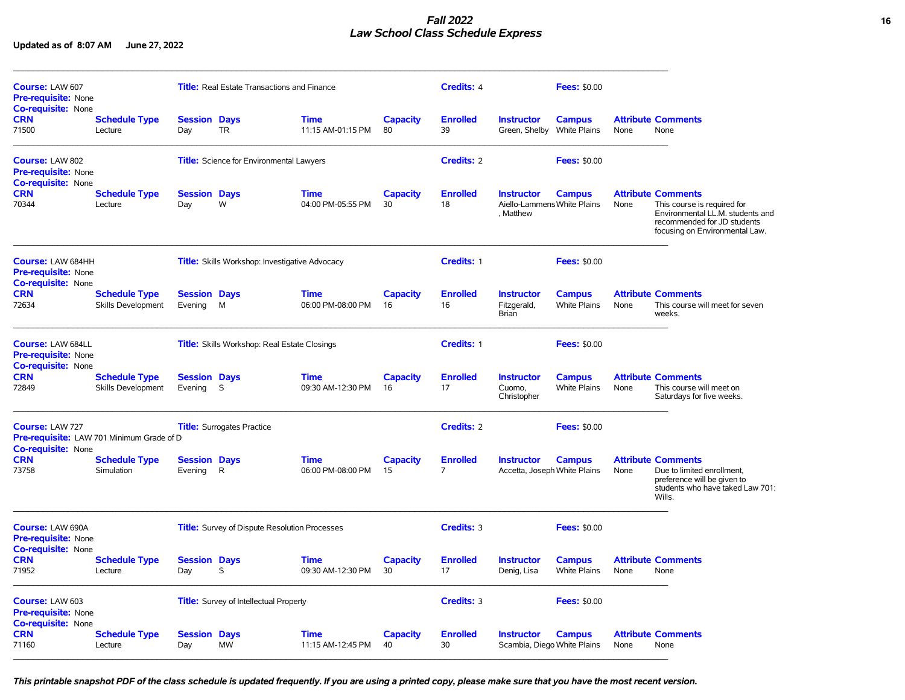## *Fall 2022* **16** *Law School Class Schedule Express*

**Updated as of 8:07 AM June 27, 2022**

| Course: LAW 607<br><b>Pre-requisite: None</b><br><b>Co-requisite: None</b>          |                                            |                                                       | <b>Title:</b> Real Estate Transactions and Finance   |                                  |                       | Credits: 4                        |                                                               | <b>Fees: \$0.00</b>                  |      |                                                                                                                                                               |
|-------------------------------------------------------------------------------------|--------------------------------------------|-------------------------------------------------------|------------------------------------------------------|----------------------------------|-----------------------|-----------------------------------|---------------------------------------------------------------|--------------------------------------|------|---------------------------------------------------------------------------------------------------------------------------------------------------------------|
| <b>CRN</b><br>71500                                                                 | <b>Schedule Type</b><br>Lecture            | <b>Session Days</b><br>Day                            | <b>TR</b>                                            | <b>Time</b><br>11:15 AM-01:15 PM | <b>Capacity</b><br>80 | <b>Enrolled</b><br>39             | <b>Instructor</b><br>Green, Shelby                            | <b>Campus</b><br><b>White Plains</b> | None | <b>Attribute Comments</b><br>None                                                                                                                             |
| Course: LAW 802<br><b>Pre-requisite: None</b><br><b>Co-requisite: None</b>          |                                            |                                                       | <b>Title:</b> Science for Environmental Lawyers      |                                  |                       | <b>Credits: 2</b>                 |                                                               | <b>Fees: \$0.00</b>                  |      |                                                                                                                                                               |
| <b>CRN</b><br>70344                                                                 | <b>Schedule Type</b><br>Lecture            | <b>Session Days</b><br>Day                            | W                                                    | <b>Time</b><br>04:00 PM-05:55 PM | <b>Capacity</b><br>30 | <b>Enrolled</b><br>18             | <b>Instructor</b><br>Aiello-Lammens White Plains<br>, Matthew | <b>Campus</b>                        | None | <b>Attribute Comments</b><br>This course is required for<br>Environmental LL.M. students and<br>recommended for JD students<br>focusing on Environmental Law. |
| Course: LAW 684HH<br><b>Pre-requisite: None</b>                                     |                                            | <b>Title:</b> Skills Workshop: Investigative Advocacy |                                                      |                                  |                       | Credits: 1                        |                                                               | <b>Fees: \$0.00</b>                  |      |                                                                                                                                                               |
| <b>Co-requisite: None</b><br><b>CRN</b><br>72634                                    | <b>Schedule Type</b><br>Skills Development | <b>Session Days</b><br>Evening                        | M                                                    | <b>Time</b><br>06:00 PM-08:00 PM | <b>Capacity</b><br>16 | <b>Enrolled</b><br>16             | <b>Instructor</b><br>Fitzgerald,<br>Brian                     | <b>Campus</b><br><b>White Plains</b> | None | <b>Attribute Comments</b><br>This course will meet for seven<br>weeks.                                                                                        |
| <b>Course: LAW 684LL</b><br><b>Pre-requisite: None</b><br><b>Co-requisite: None</b> |                                            |                                                       | Title: Skills Workshop: Real Estate Closings         |                                  | Credits: 1            |                                   | <b>Fees: \$0.00</b>                                           |                                      |      |                                                                                                                                                               |
| <b>CRN</b><br>72849                                                                 | <b>Schedule Type</b><br>Skills Development | <b>Session Days</b><br>Evening                        | S                                                    | <b>Time</b><br>09:30 AM-12:30 PM | <b>Capacity</b><br>16 | <b>Enrolled</b><br>17             | <b>Instructor</b><br>Cuomo,<br>Christopher                    | <b>Campus</b><br><b>White Plains</b> | None | <b>Attribute Comments</b><br>This course will meet on<br>Saturdays for five weeks.                                                                            |
| Course: LAW 727<br><b>Co-requisite: None</b>                                        | Pre-requisite: LAW 701 Minimum Grade of D  |                                                       | <b>Title:</b> Surrogates Practice                    |                                  |                       | Credits: 2                        |                                                               | <b>Fees: \$0.00</b>                  |      |                                                                                                                                                               |
| <b>CRN</b><br>73758                                                                 | <b>Schedule Type</b><br>Simulation         | <b>Session Days</b><br>Evening                        | R.                                                   | <b>Time</b><br>06:00 PM-08:00 PM | <b>Capacity</b><br>15 | <b>Enrolled</b><br>$\overline{7}$ | <b>Instructor</b><br>Accetta, Joseph White Plains             | <b>Campus</b>                        | None | <b>Attribute Comments</b><br>Due to limited enrollment.<br>preference will be given to<br>students who have taked Law 701:<br>Wills.                          |
| Course: LAW 690A<br><b>Pre-requisite: None</b>                                      |                                            |                                                       | <b>Title:</b> Survey of Dispute Resolution Processes |                                  |                       | Credits: 3                        |                                                               | <b>Fees: \$0.00</b>                  |      |                                                                                                                                                               |
| <b>Co-requisite: None</b><br><b>CRN</b><br>71952                                    | <b>Schedule Type</b><br>Lecture            | <b>Session Days</b><br>Day                            | S                                                    | <b>Time</b><br>09:30 AM-12:30 PM | <b>Capacity</b><br>30 | <b>Enrolled</b><br>17             | <b>Instructor</b><br>Denig, Lisa                              | <b>Campus</b><br><b>White Plains</b> | None | <b>Attribute Comments</b><br>None                                                                                                                             |
| Course: LAW 603<br><b>Pre-requisite: None</b>                                       |                                            |                                                       | <b>Title:</b> Survey of Intellectual Property        |                                  |                       | Credits: 3                        |                                                               | <b>Fees: \$0.00</b>                  |      |                                                                                                                                                               |
| <b>Co-requisite: None</b><br><b>CRN</b><br>71160                                    | <b>Schedule Type</b><br>Lecture            | <b>Session Days</b><br>Day                            | <b>MW</b>                                            | <b>Time</b><br>11:15 AM-12:45 PM | <b>Capacity</b><br>40 | <b>Enrolled</b><br>30             | <b>Instructor</b><br>Scambia, Diego White Plains              | <b>Campus</b>                        | None | <b>Attribute Comments</b><br>None                                                                                                                             |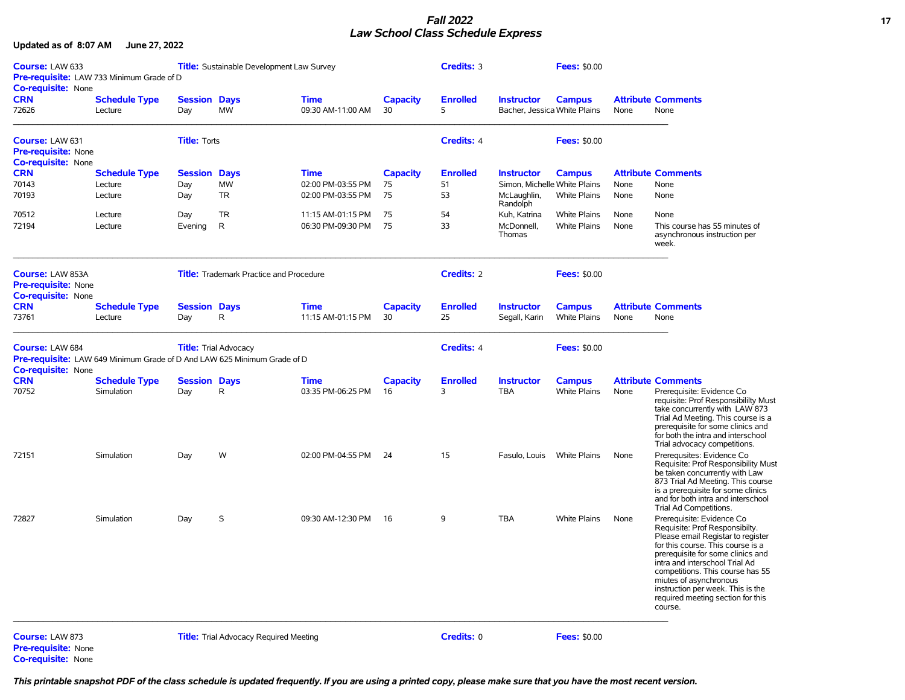## *Fall 2022* **17** *Law School Class Schedule Express*

**Updated as of 8:07 AM June 27, 2022**

| Course: LAW 633<br>Pre-requisite: LAW 733 Minimum Grade of D<br>Co-requisite: None |                                                                                 | <b>Title:</b> Sustainable Development Law Survey |                                               |                                  |                       | Credits: 3           |                                                   | <b>Fees: \$0.00</b> |      |                                                                                                                                                                                                                                                                                                                                                                 |
|------------------------------------------------------------------------------------|---------------------------------------------------------------------------------|--------------------------------------------------|-----------------------------------------------|----------------------------------|-----------------------|----------------------|---------------------------------------------------|---------------------|------|-----------------------------------------------------------------------------------------------------------------------------------------------------------------------------------------------------------------------------------------------------------------------------------------------------------------------------------------------------------------|
| <b>CRN</b><br>72626                                                                | <b>Schedule Type</b><br>Lecture                                                 | <b>Session Days</b><br>Day                       | <b>MW</b>                                     | <b>Time</b><br>09:30 AM-11:00 AM | <b>Capacity</b><br>30 | <b>Enrolled</b><br>5 | <b>Instructor</b><br>Bacher, Jessica White Plains | <b>Campus</b>       | None | <b>Attribute Comments</b><br>None                                                                                                                                                                                                                                                                                                                               |
| <b>Course: LAW 631</b><br><b>Pre-requisite: None</b><br><b>Co-requisite: None</b>  |                                                                                 | <b>Title: Torts</b>                              |                                               |                                  |                       | <b>Credits: 4</b>    |                                                   | <b>Fees: \$0.00</b> |      |                                                                                                                                                                                                                                                                                                                                                                 |
| <b>CRN</b>                                                                         | <b>Schedule Type</b>                                                            | Session                                          | <b>Days</b>                                   | Time                             | <b>Capacity</b>       | <b>Enrolled</b>      | <b>Instructor</b>                                 | <b>Campus</b>       |      | <b>Attribute Comments</b>                                                                                                                                                                                                                                                                                                                                       |
| 70143                                                                              | Lecture                                                                         | Day                                              | MW                                            | 02:00 PM-03:55 PM                | 75                    | 51                   | Simon, Michelle White Plains                      |                     | None | None                                                                                                                                                                                                                                                                                                                                                            |
| 70193                                                                              | Lecture                                                                         | Day                                              | TR                                            | 02:00 PM-03:55 PM                | 75                    | 53                   | McLaughlin,<br>Randolph                           | <b>White Plains</b> | None | None                                                                                                                                                                                                                                                                                                                                                            |
| 70512                                                                              | Lecture                                                                         | Day                                              | <b>TR</b>                                     | 11:15 AM-01:15 PM                | 75                    | 54                   | Kuh, Katrina                                      | White Plains        | None | None                                                                                                                                                                                                                                                                                                                                                            |
| 72194                                                                              | Lecture                                                                         | Evening                                          | R                                             | 06:30 PM-09:30 PM                | 75                    | 33                   | McDonnell,<br>Thomas                              | <b>White Plains</b> | None | This course has 55 minutes of<br>asynchronous instruction per<br>week.                                                                                                                                                                                                                                                                                          |
| Course: LAW 853A<br><b>Pre-requisite: None</b><br><b>Co-requisite: None</b>        |                                                                                 | <b>Title:</b> Trademark Practice and Procedure   |                                               |                                  |                       | <b>Credits: 2</b>    |                                                   | <b>Fees: \$0.00</b> |      |                                                                                                                                                                                                                                                                                                                                                                 |
| <b>CRN</b>                                                                         | <b>Schedule Type</b>                                                            | <b>Session Days</b>                              |                                               | <b>Time</b>                      | Capacity              | <b>Enrolled</b>      | <b>Instructor</b>                                 | <b>Campus</b>       |      | <b>Attribute Comments</b>                                                                                                                                                                                                                                                                                                                                       |
| 73761                                                                              | Lecture                                                                         | Day                                              | R                                             | 11:15 AM-01:15 PM                | 30                    | 25                   | Segall, Karin                                     | <b>White Plains</b> | None | None                                                                                                                                                                                                                                                                                                                                                            |
| Course: LAW 684<br>Co-requisite: None                                              | <b>Pre-requisite:</b> LAW 649 Minimum Grade of D And LAW 625 Minimum Grade of D |                                                  | <b>Title:</b> Trial Advocacy                  |                                  | <b>Credits: 4</b>     |                      | <b>Fees: \$0.00</b>                               |                     |      |                                                                                                                                                                                                                                                                                                                                                                 |
| <b>CRN</b>                                                                         | <b>Schedule Type</b>                                                            | <b>Session Days</b>                              |                                               | <b>Time</b>                      | Capacity              | <b>Enrolled</b>      | <b>Instructor</b>                                 | <b>Campus</b>       |      | <b>Attribute Comments</b>                                                                                                                                                                                                                                                                                                                                       |
| 70752                                                                              | Simulation                                                                      | Day                                              | R                                             | 03:35 PM-06:25 PM                | 16                    | 3                    | <b>TBA</b>                                        | <b>White Plains</b> | None | Prerequisite: Evidence Co<br>requisite: Prof Responsibiliity Must<br>take concurrently with LAW 873<br>Trial Ad Meeting. This course is a<br>prerequisite for some clinics and<br>for both the intra and interschool<br>Trial advocacy competitions.                                                                                                            |
| 72151                                                                              | Simulation                                                                      | Day                                              | W                                             | 02:00 PM-04:55 PM                | 24                    | 15                   | Fasulo, Louis                                     | White Plains        | None | Prerequsites: Evidence Co<br>Requisite: Prof Responsibility Must<br>be taken concurrently with Law<br>873 Trial Ad Meeting. This course<br>is a prerequisite for some clinics<br>and for both intra and interschool<br>Trial Ad Competitions.                                                                                                                   |
| 72827                                                                              | Simulation                                                                      | Day                                              | S                                             | 09:30 AM-12:30 PM                | 16                    | 9                    | <b>TBA</b>                                        | White Plains        | None | Prerequisite: Evidence Co<br>Requisite: Prof Responsibilty.<br>Please email Registar to register<br>for this course. This course is a<br>prerequisite for some clinics and<br>intra and interschool Trial Ad<br>competitions. This course has 55<br>miutes of asynchronous<br>instruction per week. This is the<br>required meeting section for this<br>course. |
| Course: LAW 873<br><b>Pre-requisite: None</b><br>Co-requisite: None                |                                                                                 |                                                  | <b>Title:</b> Trial Advocacy Required Meeting |                                  |                       | Credits: 0           |                                                   | <b>Fees: \$0.00</b> |      |                                                                                                                                                                                                                                                                                                                                                                 |